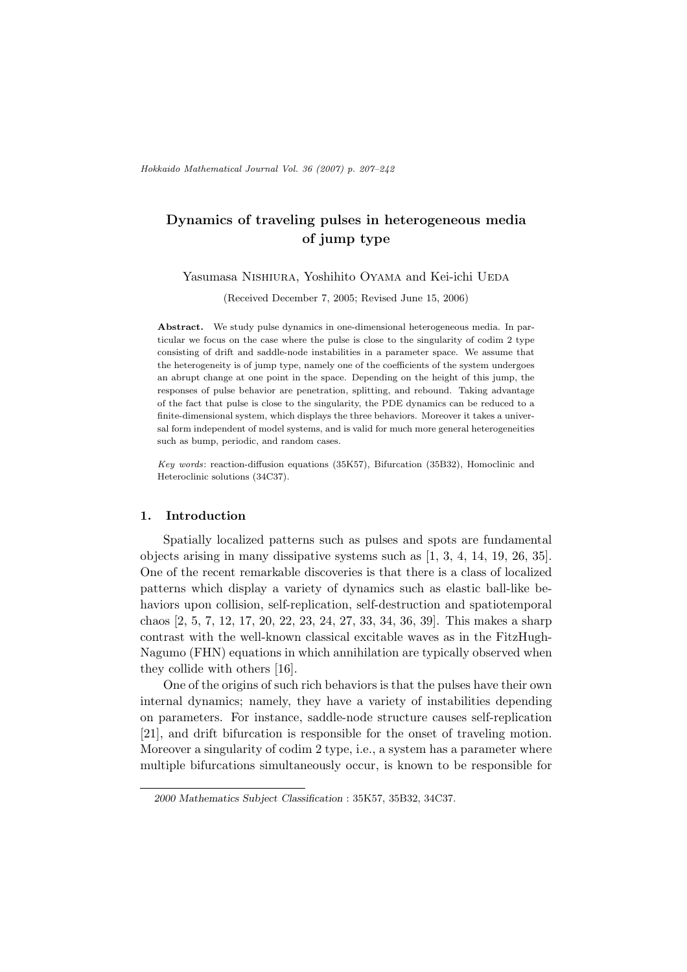# **Dynamics of traveling pulses in heterogeneous media of jump type**

#### Yasumasa Nishiura, Yoshihito Oyama and Kei-ichi UEDA

(Received December 7, 2005; Revised June 15, 2006)

**Abstract.** We study pulse dynamics in one-dimensional heterogeneous media. In particular we focus on the case where the pulse is close to the singularity of codim 2 type consisting of drift and saddle-node instabilities in a parameter space. We assume that the heterogeneity is of jump type, namely one of the coefficients of the system undergoes an abrupt change at one point in the space. Depending on the height of this jump, the responses of pulse behavior are penetration, splitting, and rebound. Taking advantage of the fact that pulse is close to the singularity, the PDE dynamics can be reduced to a finite-dimensional system, which displays the three behaviors. Moreover it takes a universal form independent of model systems, and is valid for much more general heterogeneities such as bump, periodic, and random cases.

*Key words*: reaction-diffusion equations (35K57), Bifurcation (35B32), Homoclinic and Heteroclinic solutions (34C37).

## **1. Introduction**

Spatially localized patterns such as pulses and spots are fundamental objects arising in many dissipative systems such as [1, 3, 4, 14, 19, 26, 35]. One of the recent remarkable discoveries is that there is a class of localized patterns which display a variety of dynamics such as elastic ball-like behaviors upon collision, self-replication, self-destruction and spatiotemporal chaos [2, 5, 7, 12, 17, 20, 22, 23, 24, 27, 33, 34, 36, 39]. This makes a sharp contrast with the well-known classical excitable waves as in the FitzHugh-Nagumo (FHN) equations in which annihilation are typically observed when they collide with others [16].

One of the origins of such rich behaviors is that the pulses have their own internal dynamics; namely, they have a variety of instabilities depending on parameters. For instance, saddle-node structure causes self-replication [21], and drift bifurcation is responsible for the onset of traveling motion. Moreover a singularity of codim 2 type, i.e., a system has a parameter where multiple bifurcations simultaneously occur, is known to be responsible for

*<sup>2000</sup> Mathematics Subject Classification* : 35K57, 35B32, 34C37.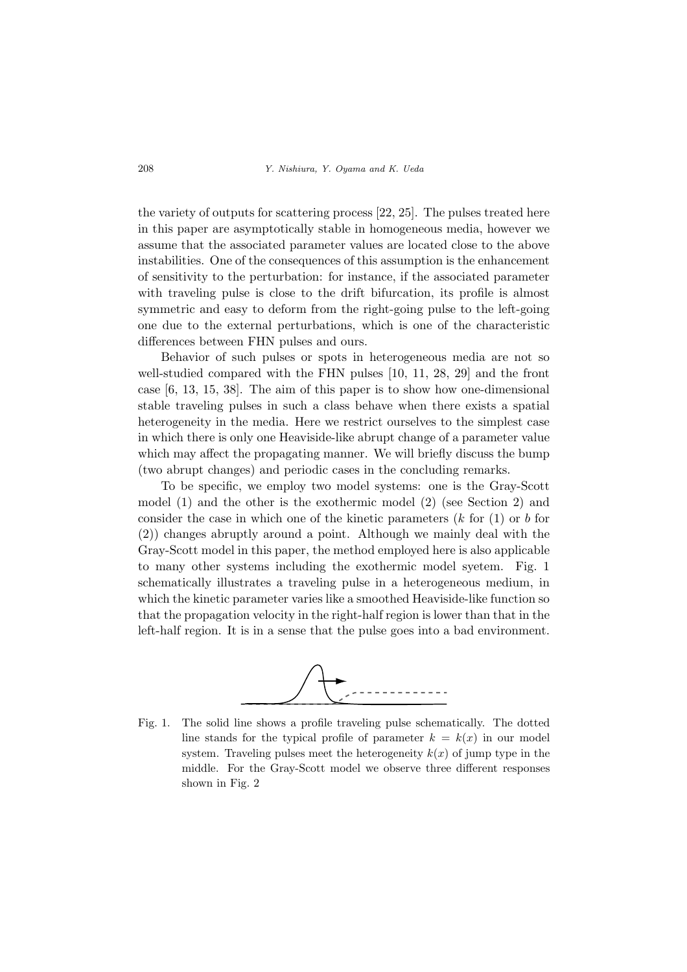the variety of outputs for scattering process [22, 25]. The pulses treated here in this paper are asymptotically stable in homogeneous media, however we assume that the associated parameter values are located close to the above instabilities. One of the consequences of this assumption is the enhancement of sensitivity to the perturbation: for instance, if the associated parameter with traveling pulse is close to the drift bifurcation, its profile is almost symmetric and easy to deform from the right-going pulse to the left-going one due to the external perturbations, which is one of the characteristic differences between FHN pulses and ours.

Behavior of such pulses or spots in heterogeneous media are not so well-studied compared with the FHN pulses [10, 11, 28, 29] and the front case [6, 13, 15, 38]. The aim of this paper is to show how one-dimensional stable traveling pulses in such a class behave when there exists a spatial heterogeneity in the media. Here we restrict ourselves to the simplest case in which there is only one Heaviside-like abrupt change of a parameter value which may affect the propagating manner. We will briefly discuss the bump (two abrupt changes) and periodic cases in the concluding remarks.

To be specific, we employ two model systems: one is the Gray-Scott model (1) and the other is the exothermic model (2) (see Section 2) and consider the case in which one of the kinetic parameters (*k* for (1) or *b* for (2)) changes abruptly around a point. Although we mainly deal with the Gray-Scott model in this paper, the method employed here is also applicable to many other systems including the exothermic model syetem. Fig. 1 schematically illustrates a traveling pulse in a heterogeneous medium, in which the kinetic parameter varies like a smoothed Heaviside-like function so that the propagation velocity in the right-half region is lower than that in the left-half region. It is in a sense that the pulse goes into a bad environment.



Fig. 1. The solid line shows a profile traveling pulse schematically. The dotted line stands for the typical profile of parameter  $k = k(x)$  in our model system. Traveling pulses meet the heterogeneity  $k(x)$  of jump type in the middle. For the Gray-Scott model we observe three different responses shown in Fig. 2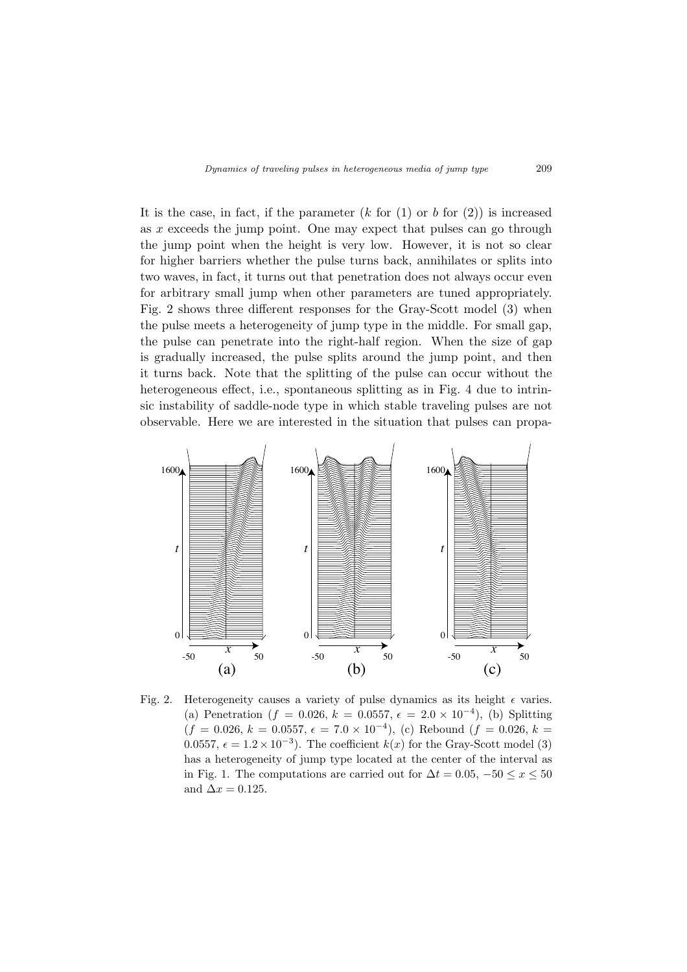It is the case, in fact, if the parameter  $(k \text{ for } (1) \text{ or } b \text{ for } (2))$  is increased as *x* exceeds the jump point. One may expect that pulses can go through the jump point when the height is very low. However, it is not so clear for higher barriers whether the pulse turns back, annihilates or splits into two waves, in fact, it turns out that penetration does not always occur even for arbitrary small jump when other parameters are tuned appropriately. Fig. 2 shows three different responses for the Gray-Scott model (3) when the pulse meets a heterogeneity of jump type in the middle. For small gap, the pulse can penetrate into the right-half region. When the size of gap is gradually increased, the pulse splits around the jump point, and then it turns back. Note that the splitting of the pulse can occur without the heterogeneous effect, i.e., spontaneous splitting as in Fig. 4 due to intrinsic instability of saddle-node type in which stable traveling pulses are not observable. Here we are interested in the situation that pulses can propa-



Fig. 2. Heterogeneity causes a variety of pulse dynamics as its height  $\epsilon$  varies. (a) Penetration ( $f = 0.026, k = 0.0557, \epsilon = 2.0 \times 10^{-4}$ ), (b) Splitting  $(f = 0.026, k = 0.0557, \epsilon = 7.0 \times 10^{-4}),$  (c) Rebound  $(f = 0.026, k = 10^{-4})$ 0.0557,  $\epsilon = 1.2 \times 10^{-3}$ ). The coefficient  $k(x)$  for the Gray-Scott model (3) has a heterogeneity of jump type located at the center of the interval as in Fig. 1. The computations are carried out for  $\Delta t = 0.05, -50 \le x \le 50$ and  $\Delta x = 0.125$ .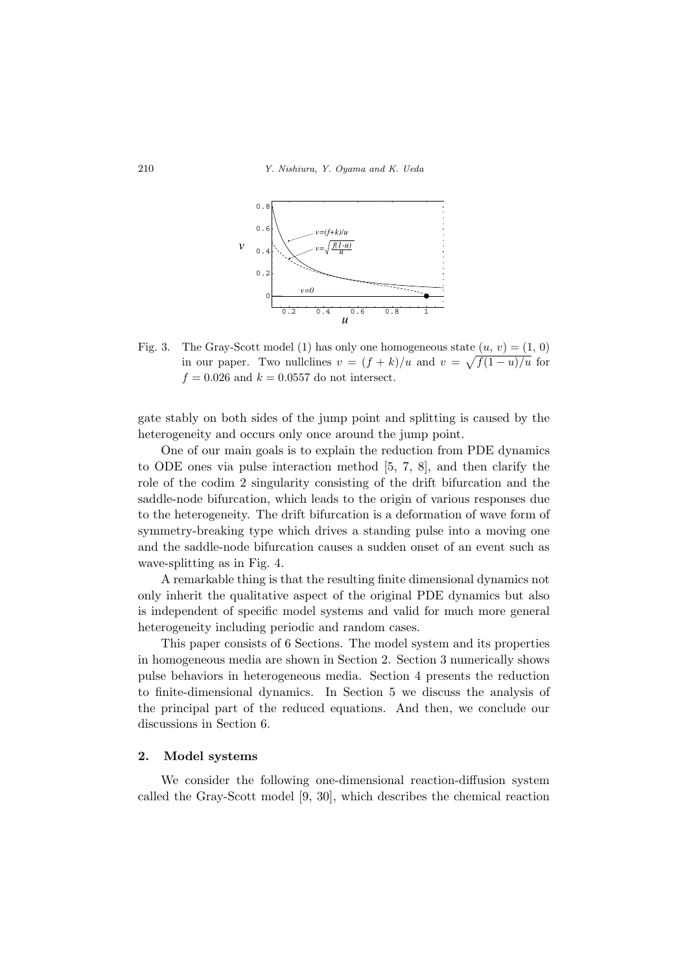

Fig. 3. The Gray-Scott model (1) has only one homogeneous state  $(u, v) = (1, 0)$ in our paper. Two nullclines  $v = (f + k)/u$  and  $v = \sqrt{f(1 - u)/u}$  for  $f = 0.026$  and  $k = 0.0557$  do not intersect.

gate stably on both sides of the jump point and splitting is caused by the heterogeneity and occurs only once around the jump point.

One of our main goals is to explain the reduction from PDE dynamics to ODE ones via pulse interaction method [5, 7, 8], and then clarify the role of the codim 2 singularity consisting of the drift bifurcation and the saddle-node bifurcation, which leads to the origin of various responses due to the heterogeneity. The drift bifurcation is a deformation of wave form of symmetry-breaking type which drives a standing pulse into a moving one and the saddle-node bifurcation causes a sudden onset of an event such as wave-splitting as in Fig. 4.

A remarkable thing is that the resulting finite dimensional dynamics not only inherit the qualitative aspect of the original PDE dynamics but also is independent of specific model systems and valid for much more general heterogeneity including periodic and random cases.

This paper consists of 6 Sections. The model system and its properties in homogeneous media are shown in Section 2. Section 3 numerically shows pulse behaviors in heterogeneous media. Section 4 presents the reduction to finite-dimensional dynamics. In Section 5 we discuss the analysis of the principal part of the reduced equations. And then, we conclude our discussions in Section 6.

#### **2. Model systems**

We consider the following one-dimensional reaction-diffusion system called the Gray-Scott model [9, 30], which describes the chemical reaction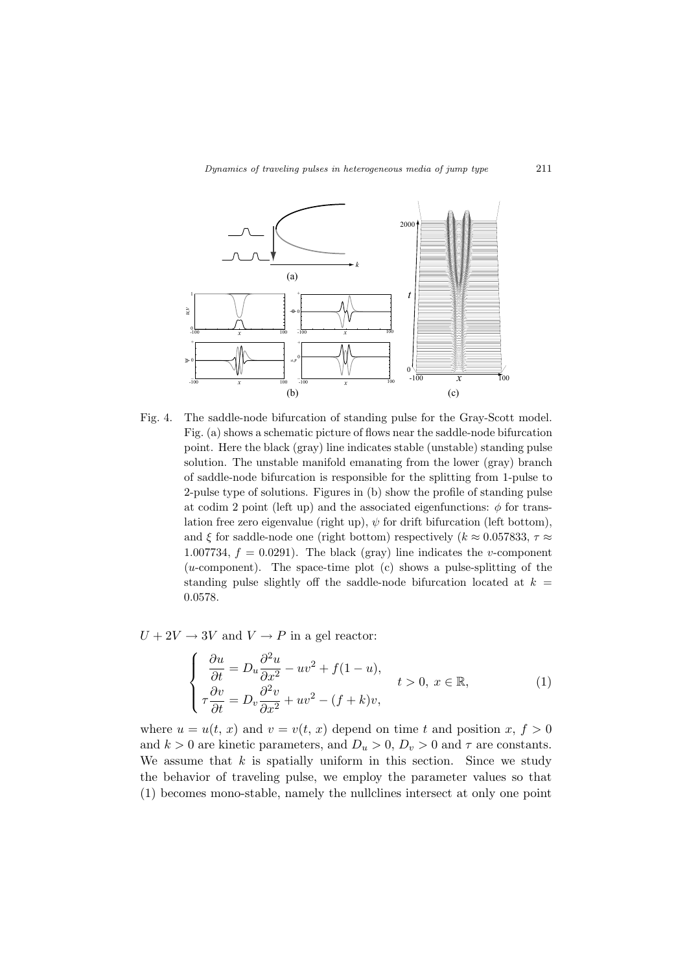

Fig. 4. The saddle-node bifurcation of standing pulse for the Gray-Scott model. Fig. (a) shows a schematic picture of flows near the saddle-node bifurcation point. Here the black (gray) line indicates stable (unstable) standing pulse solution. The unstable manifold emanating from the lower (gray) branch of saddle-node bifurcation is responsible for the splitting from 1-pulse to 2-pulse type of solutions. Figures in (b) show the profile of standing pulse at codim 2 point (left up) and the associated eigenfunctions:  $\phi$  for translation free zero eigenvalue (right up),  $\psi$  for drift bifurcation (left bottom), and *ξ* for saddle-node one (right bottom) respectively ( $k \approx 0.057833$ ,  $\tau \approx$ 1.007734,  $f = 0.0291$ . The black (gray) line indicates the *v*-component (*u*-component). The space-time plot (c) shows a pulse-splitting of the standing pulse slightly off the saddle-node bifurcation located at  $k =$ 0*.*0578.

 $U + 2V \rightarrow 3V$  and  $V \rightarrow P$  in a gel reactor:

$$
\begin{cases}\n\frac{\partial u}{\partial t} = D_u \frac{\partial^2 u}{\partial x^2} - uv^2 + f(1 - u), \\
\tau \frac{\partial v}{\partial t} = D_v \frac{\partial^2 v}{\partial x^2} + uv^2 - (f + k)v,\n\end{cases} \quad t > 0, \ x \in \mathbb{R},
$$
\n(1)

where  $u = u(t, x)$  and  $v = v(t, x)$  depend on time *t* and position *x*,  $f > 0$ and  $k > 0$  are kinetic parameters, and  $D_u > 0$ ,  $D_v > 0$  and  $\tau$  are constants. We assume that *k* is spatially uniform in this section. Since we study the behavior of traveling pulse, we employ the parameter values so that (1) becomes mono-stable, namely the nullclines intersect at only one point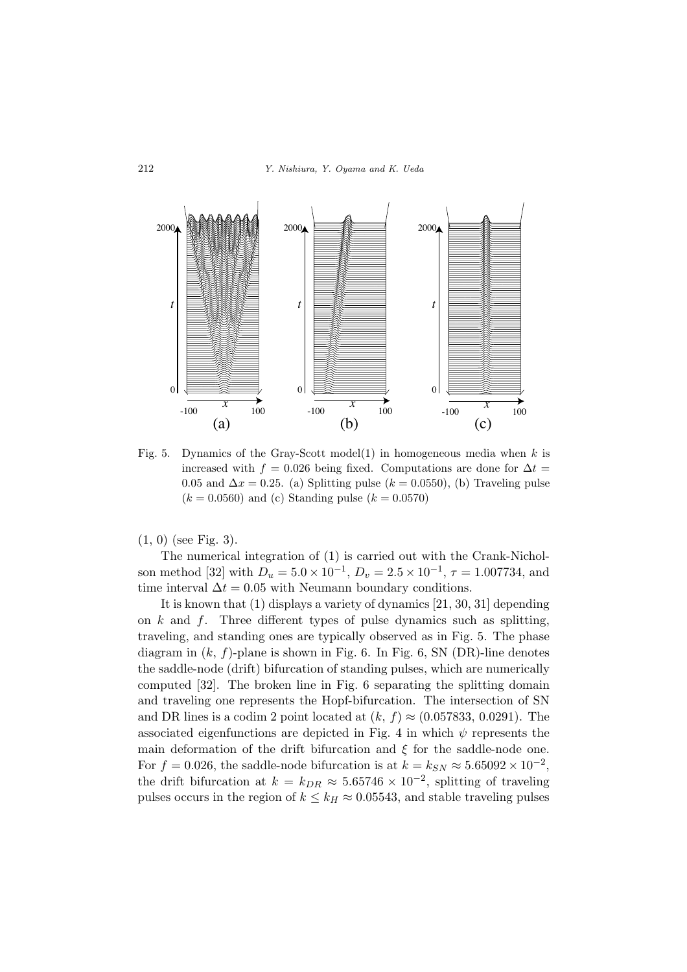

Fig. 5. Dynamics of the Gray-Scott model(1) in homogeneous media when *k* is increased with  $f = 0.026$  being fixed. Computations are done for  $\Delta t =$ 0.05 and  $\Delta x = 0.25$ . (a) Splitting pulse ( $k = 0.0550$ ), (b) Traveling pulse  $(k = 0.0560)$  and (c) Standing pulse  $(k = 0.0570)$ 

(1*,* 0) (see Fig. 3).

The numerical integration of (1) is carried out with the Crank-Nicholson method [32] with  $D_u = 5.0 \times 10^{-1}$ ,  $D_v = 2.5 \times 10^{-1}$ ,  $\tau = 1.007734$ , and time interval  $\Delta t = 0.05$  with Neumann boundary conditions.

It is known that (1) displays a variety of dynamics [21, 30, 31] depending on *k* and *f*. Three different types of pulse dynamics such as splitting, traveling, and standing ones are typically observed as in Fig. 5. The phase diagram in  $(k, f)$ -plane is shown in Fig. 6. In Fig. 6, SN  $(DR)$ -line denotes the saddle-node (drift) bifurcation of standing pulses, which are numerically computed [32]. The broken line in Fig. 6 separating the splitting domain and traveling one represents the Hopf-bifurcation. The intersection of SN and DR lines is a codim 2 point located at  $(k, f) \approx (0.057833, 0.0291)$ . The associated eigenfunctions are depicted in Fig. 4 in which  $\psi$  represents the main deformation of the drift bifurcation and  $\xi$  for the saddle-node one. For  $f = 0.026$ , the saddle-node bifurcation is at  $k = k_{SN} \approx 5.65092 \times 10^{-2}$ , the drift bifurcation at  $k = k_{DR} \approx 5.65746 \times 10^{-2}$ , splitting of traveling pulses occurs in the region of  $k \leq k_H \approx 0.05543$ , and stable traveling pulses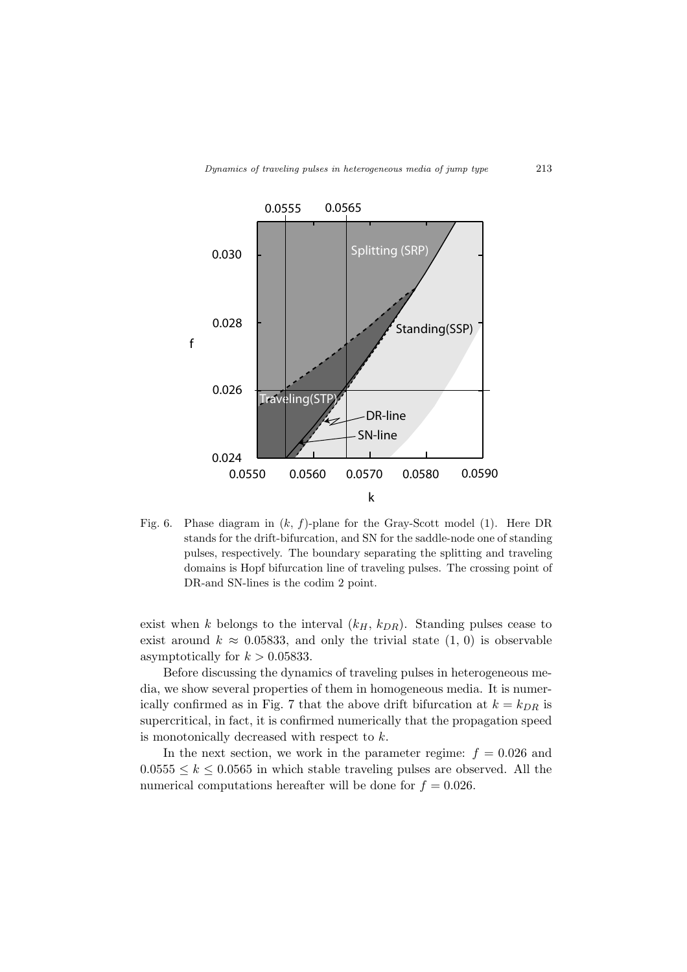

Fig. 6. Phase diagram in (*k, f*)-plane for the Gray-Scott model (1). Here DR stands for the drift-bifurcation, and SN for the saddle-node one of standing pulses, respectively. The boundary separating the splitting and traveling domains is Hopf bifurcation line of traveling pulses. The crossing point of DR-and SN-lines is the codim 2 point.

exist when *k* belongs to the interval  $(k_H, k_{DR})$ . Standing pulses cease to exist around  $k \approx 0.05833$ , and only the trivial state  $(1, 0)$  is observable asymptotically for  $k > 0.05833$ .

Before discussing the dynamics of traveling pulses in heterogeneous media, we show several properties of them in homogeneous media. It is numerically confirmed as in Fig. 7 that the above drift bifurcation at  $k = k_{DR}$  is supercritical, in fact, it is confirmed numerically that the propagation speed is monotonically decreased with respect to *k*.

In the next section, we work in the parameter regime:  $f = 0.026$  and  $0.0555 \leq k \leq 0.0565$  in which stable traveling pulses are observed. All the numerical computations hereafter will be done for  $f = 0.026$ .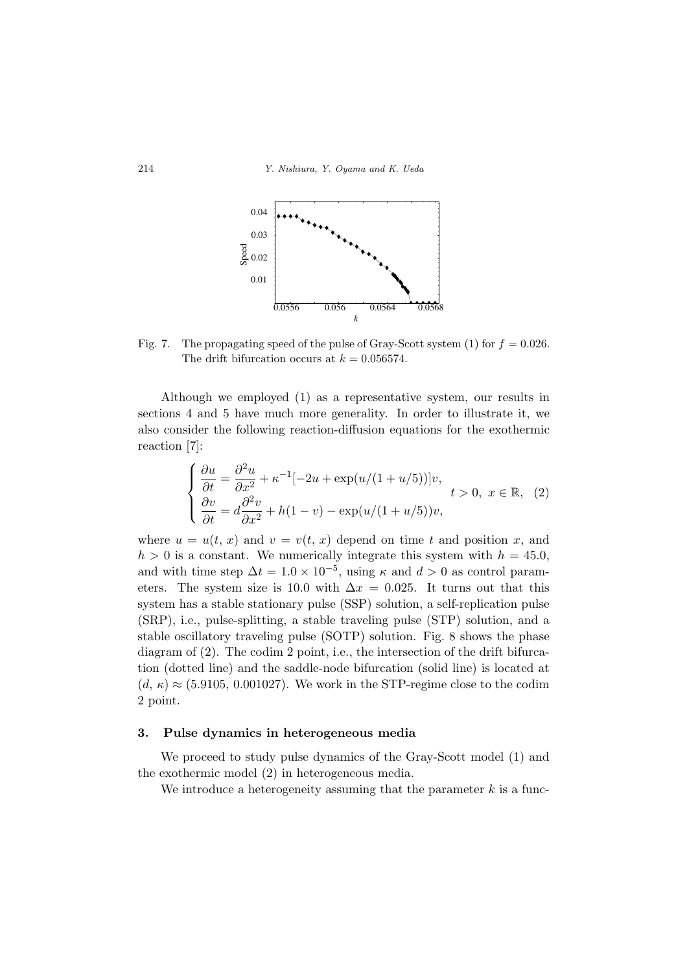

Fig. 7. The propagating speed of the pulse of Gray-Scott system  $(1)$  for  $f = 0.026$ . The drift bifurcation occurs at  $k = 0.056574$ .

Although we employed (1) as a representative system, our results in sections 4 and 5 have much more generality. In order to illustrate it, we also consider the following reaction-diffusion equations for the exothermic reaction [7]:

$$
\begin{cases} \n\frac{\partial u}{\partial t} = \frac{\partial^2 u}{\partial x^2} + \kappa^{-1} [-2u + \exp(u/(1+u/5))]v, \\
\frac{\partial v}{\partial t} = d \frac{\partial^2 v}{\partial x^2} + h(1-v) - \exp(u/(1+u/5))v, \n\end{cases}
$$
  $t > 0, x \in \mathbb{R}, (2)$ 

where  $u = u(t, x)$  and  $v = v(t, x)$  depend on time *t* and position *x*, and  $h > 0$  is a constant. We numerically integrate this system with  $h = 45.0$ , and with time step  $\Delta t = 1.0 \times 10^{-5}$ , using  $\kappa$  and  $d > 0$  as control parameters. The system size is 10.0 with  $\Delta x = 0.025$ . It turns out that this system has a stable stationary pulse (SSP) solution, a self-replication pulse (SRP), i.e., pulse-splitting, a stable traveling pulse (STP) solution, and a stable oscillatory traveling pulse (SOTP) solution. Fig. 8 shows the phase diagram of (2). The codim 2 point, i.e., the intersection of the drift bifurcation (dotted line) and the saddle-node bifurcation (solid line) is located at  $(d, \kappa) \approx (5.9105, 0.001027)$ . We work in the STP-regime close to the codim 2 point.

#### **3. Pulse dynamics in heterogeneous media**

We proceed to study pulse dynamics of the Gray-Scott model (1) and the exothermic model (2) in heterogeneous media.

We introduce a heterogeneity assuming that the parameter *k* is a func-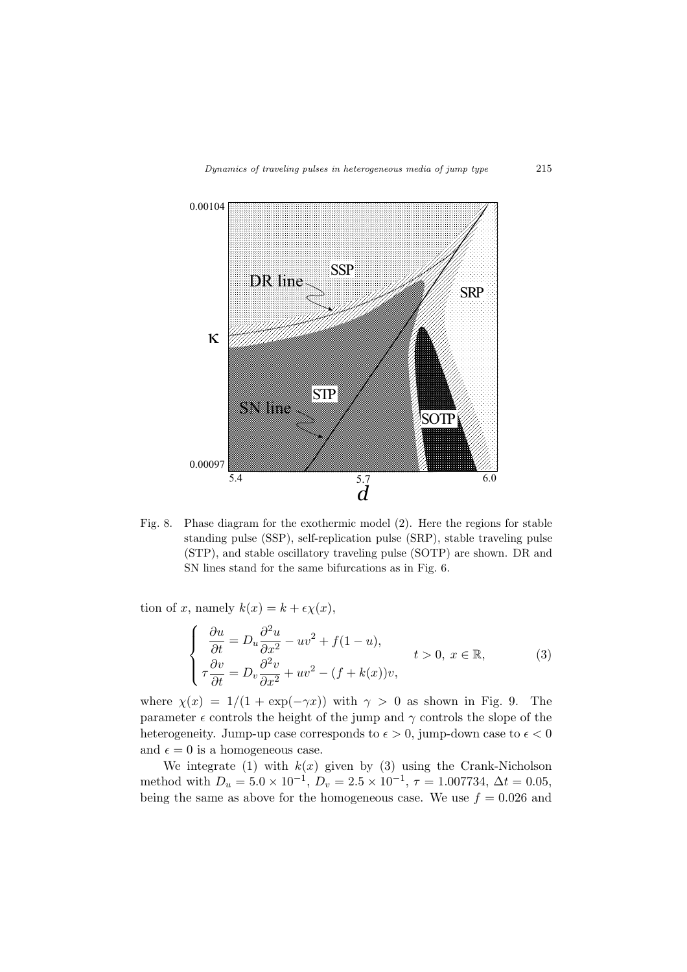

Fig. 8. Phase diagram for the exothermic model (2). Here the regions for stable standing pulse (SSP), self-replication pulse (SRP), stable traveling pulse (STP), and stable oscillatory traveling pulse (SOTP) are shown. DR and SN lines stand for the same bifurcations as in Fig. 6.

tion of *x*, namely  $k(x) = k + \epsilon \chi(x)$ ,

$$
\begin{cases}\n\frac{\partial u}{\partial t} = D_u \frac{\partial^2 u}{\partial x^2} - uv^2 + f(1 - u), & t > 0, \ x \in \mathbb{R}, \\
\tau \frac{\partial v}{\partial t} = D_v \frac{\partial^2 v}{\partial x^2} + uv^2 - (f + k(x))v,\n\end{cases}
$$
\n(3)

where  $\chi(x) = 1/(1 + \exp(-\gamma x))$  with  $\gamma > 0$  as shown in Fig. 9. The parameter  $\epsilon$  controls the height of the jump and  $\gamma$  controls the slope of the heterogeneity. Jump-up case corresponds to  $\epsilon > 0$ , jump-down case to  $\epsilon < 0$ and  $\epsilon = 0$  is a homogeneous case.

We integrate (1) with  $k(x)$  given by (3) using the Crank-Nicholson method with  $D_u = 5.0 \times 10^{-1}$ ,  $D_v = 2.5 \times 10^{-1}$ ,  $\tau = 1.007734$ ,  $\Delta t = 0.05$ , being the same as above for the homogeneous case. We use  $f = 0.026$  and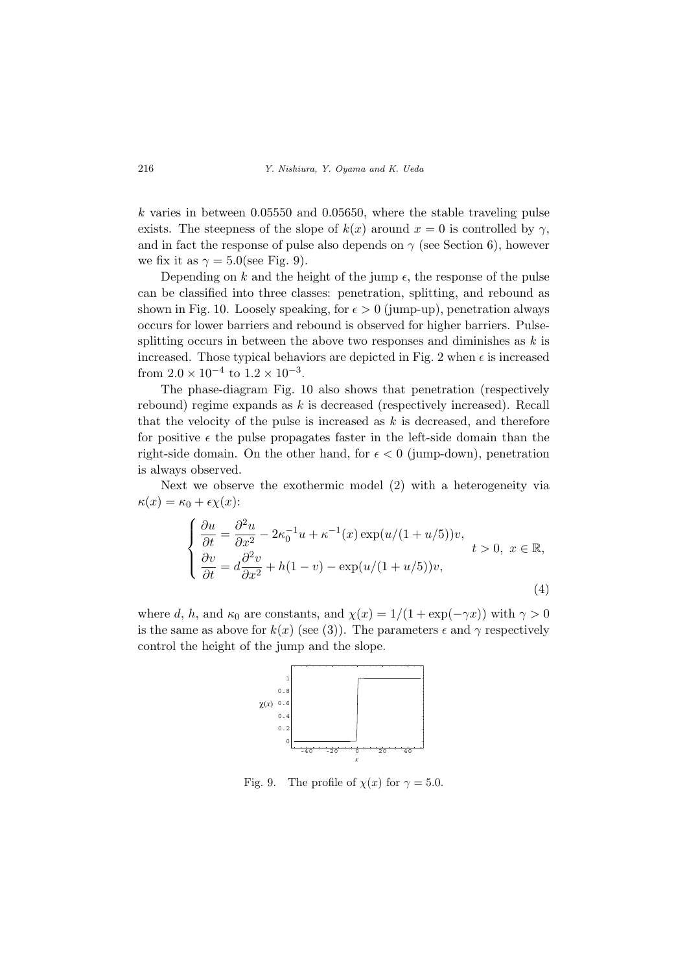*k* varies in between 0*.*05550 and 0*.*05650, where the stable traveling pulse exists. The steepness of the slope of  $k(x)$  around  $x = 0$  is controlled by  $\gamma$ , and in fact the response of pulse also depends on  $\gamma$  (see Section 6), however we fix it as  $\gamma = 5.0$  (see Fig. 9).

Depending on  $k$  and the height of the jump  $\epsilon$ , the response of the pulse can be classified into three classes: penetration, splitting, and rebound as shown in Fig. 10. Loosely speaking, for  $\epsilon > 0$  (jump-up), penetration always occurs for lower barriers and rebound is observed for higher barriers. Pulsesplitting occurs in between the above two responses and diminishes as *k* is increased. Those typical behaviors are depicted in Fig. 2 when  $\epsilon$  is increased from  $2.0 \times 10^{-4}$  to  $1.2 \times 10^{-3}$ .

The phase-diagram Fig. 10 also shows that penetration (respectively rebound) regime expands as *k* is decreased (respectively increased). Recall that the velocity of the pulse is increased as  $k$  is decreased, and therefore for positive  $\epsilon$  the pulse propagates faster in the left-side domain than the right-side domain. On the other hand, for  $\epsilon < 0$  (jump-down), penetration is always observed.

Next we observe the exothermic model (2) with a heterogeneity via  $\kappa(x) = \kappa_0 + \epsilon \chi(x)$ :

$$
\begin{cases}\n\frac{\partial u}{\partial t} = \frac{\partial^2 u}{\partial x^2} - 2\kappa_0^{-1}u + \kappa^{-1}(x)\exp(u/(1+u/5))v, \\
\frac{\partial v}{\partial t} = d\frac{\partial^2 v}{\partial x^2} + h(1-v) - \exp(u/(1+u/5))v,\n\end{cases} \quad t > 0, \ x \in \mathbb{R},
$$
\n(4)

where *d*, *h*, and  $\kappa_0$  are constants, and  $\chi(x) = 1/(1 + \exp(-\gamma x))$  with  $\gamma > 0$ is the same as above for  $k(x)$  (see (3)). The parameters  $\epsilon$  and  $\gamma$  respectively control the height of the jump and the slope.



Fig. 9. The profile of  $\chi(x)$  for  $\gamma = 5.0$ .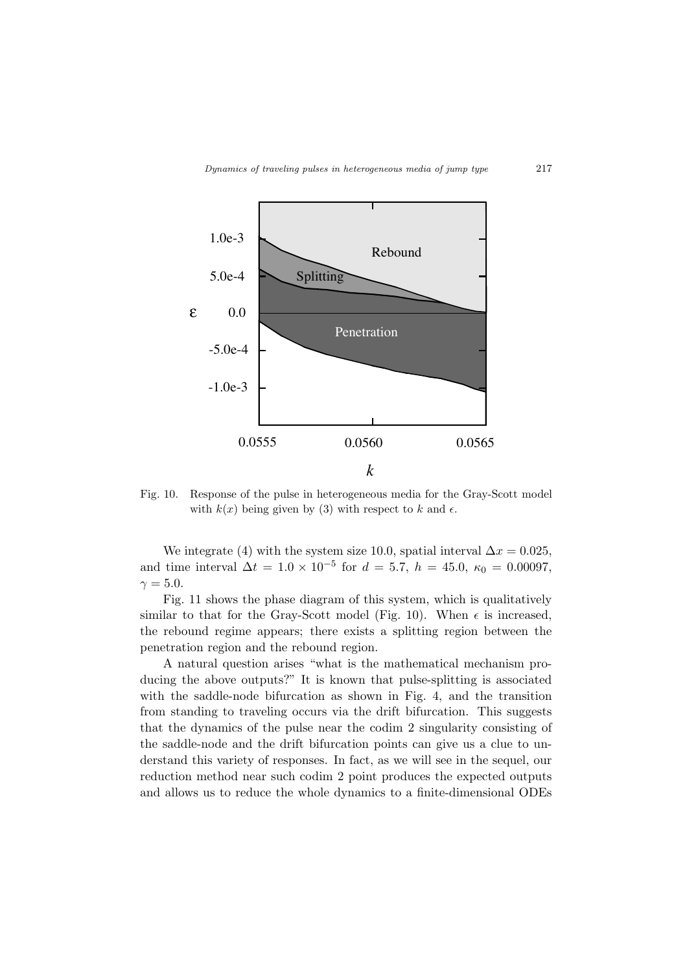

Fig. 10. Response of the pulse in heterogeneous media for the Gray-Scott model with  $k(x)$  being given by (3) with respect to k and  $\epsilon$ .

We integrate (4) with the system size 10.0, spatial interval  $\Delta x = 0.025$ , and time interval  $\Delta t = 1.0 \times 10^{-5}$  for  $d = 5.7$ ,  $h = 45.0$ ,  $\kappa_0 = 0.00097$ ,  $\gamma = 5.0$ .

Fig. 11 shows the phase diagram of this system, which is qualitatively similar to that for the Gray-Scott model (Fig. 10). When  $\epsilon$  is increased, the rebound regime appears; there exists a splitting region between the penetration region and the rebound region.

A natural question arises "what is the mathematical mechanism producing the above outputs?" It is known that pulse-splitting is associated with the saddle-node bifurcation as shown in Fig. 4, and the transition from standing to traveling occurs via the drift bifurcation. This suggests that the dynamics of the pulse near the codim 2 singularity consisting of the saddle-node and the drift bifurcation points can give us a clue to understand this variety of responses. In fact, as we will see in the sequel, our reduction method near such codim 2 point produces the expected outputs and allows us to reduce the whole dynamics to a finite-dimensional ODEs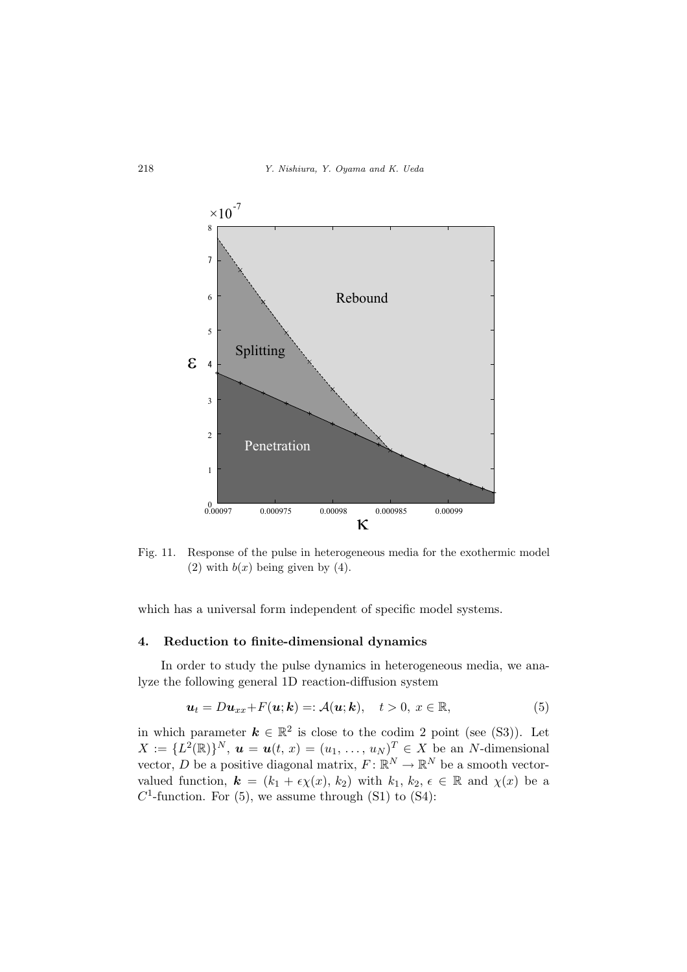

Fig. 11. Response of the pulse in heterogeneous media for the exothermic model (2) with  $b(x)$  being given by (4).

which has a universal form independent of specific model systems.

#### **4. Reduction to finite-dimensional dynamics**

In order to study the pulse dynamics in heterogeneous media, we analyze the following general 1D reaction-diffusion system

$$
\mathbf{u}_t = D\mathbf{u}_{xx} + F(\mathbf{u}; \mathbf{k}) =: \mathcal{A}(\mathbf{u}; \mathbf{k}), \quad t > 0, \ x \in \mathbb{R}, \tag{5}
$$

in which parameter  $k \in \mathbb{R}^2$  is close to the codim 2 point (see (S3)). Let  $X := \{L^2(\mathbb{R})\}^N$ ,  $u = u(t, x) = (u_1, \ldots, u_N)^T \in X$  be an *N*-dimensional vector, *D* be a positive diagonal matrix,  $F: \mathbb{R}^N \to \mathbb{R}^N$  be a smooth vectorvalued function,  $\mathbf{k} = (k_1 + \epsilon \chi(x), k_2)$  with  $k_1, k_2, \epsilon \in \mathbb{R}$  and  $\chi(x)$  be a  $C<sup>1</sup>$ -function. For (5), we assume through (S1) to (S4):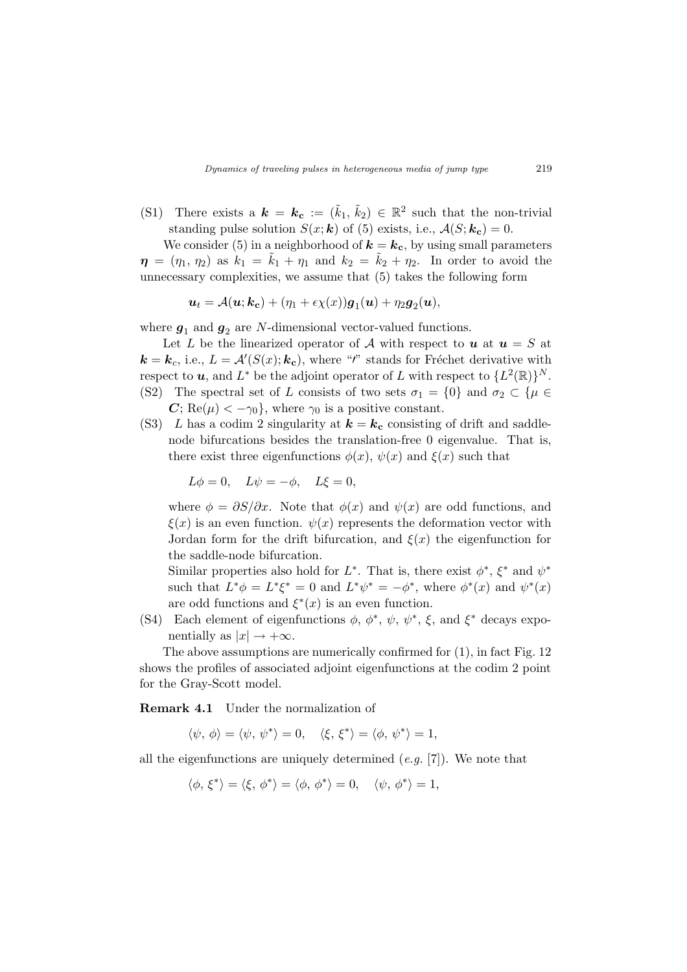(S1) There exists a  $\mathbf{k} = \mathbf{k_c} := (\tilde{k}_1, \tilde{k}_2) \in \mathbb{R}^2$  such that the non-trivial standing pulse solution  $S(x; k)$  of (5) exists, i.e.,  $A(S; k_c) = 0$ .

We consider (5) in a neighborhood of  $\mathbf{k} = \mathbf{k_c}$ , by using small parameters  $\eta = (\eta_1, \eta_2)$  as  $k_1 = \tilde{k}_1 + \eta_1$  and  $k_2 = \tilde{k}_2 + \eta_2$ . In order to avoid the unnecessary complexities, we assume that (5) takes the following form

$$
\boldsymbol{u}_t = \mathcal{A}(\boldsymbol{u}; \boldsymbol{k_c}) + (\eta_1 + \epsilon \chi(x)) \boldsymbol{g}_1(\boldsymbol{u}) + \eta_2 \boldsymbol{g}_2(\boldsymbol{u}),
$$

where  $g_1$  and  $g_2$  are *N*-dimensional vector-valued functions.

Let *L* be the linearized operator of *A* with respect to  $u$  at  $u = S$  at  $\mathbf{k} = \mathbf{k}_c$ , i.e.,  $L = \mathcal{A}'(S(x); \mathbf{k_c})$ , where "*i*" stands for Fréchet derivative with  $\mathbf{r}$  respect to  $\mathbf{u}$ , and  $L^*$  be the adjoint operator of  $L$  with respect to  $\{L^2(\mathbb{R})\}^N$ . (S2) The spectral set of *L* consists of two sets  $\sigma_1 = \{0\}$  and  $\sigma_2 \subset \{\mu \in \mathbb{R}^d\}$ 

- $C$ ; Re( $\mu$ )  $< -\gamma_0$ }, where  $\gamma_0$  is a positive constant. (S3) *L* has a codim 2 singularity at  $\mathbf{k} = \mathbf{k_c}$  consisting of drift and saddle-
- node bifurcations besides the translation-free 0 eigenvalue. That is, there exist three eigenfunctions  $\phi(x)$ ,  $\psi(x)$  and  $\xi(x)$  such that

$$
L\phi = 0, \quad L\psi = -\phi, \quad L\xi = 0,
$$

where  $\phi = \partial S/\partial x$ . Note that  $\phi(x)$  and  $\psi(x)$  are odd functions, and  $\xi(x)$  is an even function.  $\psi(x)$  represents the deformation vector with Jordan form for the drift bifurcation, and  $\xi(x)$  the eigenfunction for the saddle-node bifurcation.

Similar properties also hold for  $L^*$ . That is, there exist  $\phi^*, \xi^*$  and  $\psi^*$ such that  $L^*\phi = L^*\xi^* = 0$  and  $L^*\psi^* = -\phi^*$ , where  $\phi^*(x)$  and  $\psi^*(x)$ are odd functions and  $\xi^*(x)$  is an even function.

(S4) Each element of eigenfunctions  $\phi$ ,  $\phi^*$ ,  $\psi$ ,  $\psi^*$ ,  $\xi$ , and  $\xi^*$  decays exponentially as  $|x| \rightarrow +\infty$ .

The above assumptions are numerically confirmed for (1), in fact Fig. 12 shows the profiles of associated adjoint eigenfunctions at the codim 2 point for the Gray-Scott model.

**Remark 4.1** Under the normalization of

 $\langle \psi, \phi \rangle = \langle \psi, \psi^* \rangle = 0, \quad \langle \xi, \xi^* \rangle = \langle \phi, \psi^* \rangle = 1,$ 

all the eigenfunctions are uniquely determined (*e.g.* [7]). We note that

$$
\langle \phi, \xi^* \rangle = \langle \xi, \phi^* \rangle = \langle \phi, \phi^* \rangle = 0, \quad \langle \psi, \phi^* \rangle = 1,
$$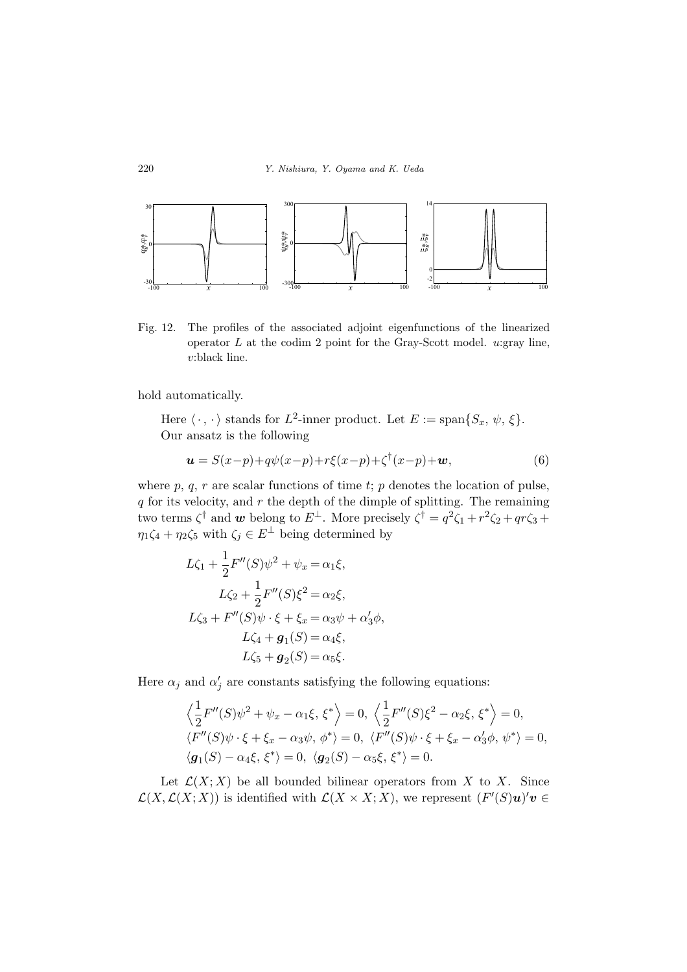

Fig. 12. The profiles of the associated adjoint eigenfunctions of the linearized operator *L* at the codim 2 point for the Gray-Scott model. *u*:gray line, *v*:black line.

hold automatically.

Here  $\langle \cdot, \cdot \rangle$  stands for  $L^2$ -inner product. Let  $E := \text{span}\{S_x, \psi, \xi\}.$ Our ansatz is the following

$$
\mathbf{u} = S(x-p) + q\psi(x-p) + r\xi(x-p) + \zeta^{\dagger}(x-p) + \mathbf{w},\tag{6}
$$

where  $p, q, r$  are scalar functions of time  $t$ ;  $p$  denotes the location of pulse, *q* for its velocity, and *r* the depth of the dimple of splitting. The remaining two terms  $\zeta^{\dagger}$  and *w* belong to  $E^{\perp}$ . More precisely  $\zeta^{\dagger} = q^2 \zeta_1 + r^2 \zeta_2 + qr \zeta_3 +$  $\eta_1 \zeta_4 + \eta_2 \zeta_5$  with  $\zeta_j \in E^{\perp}$  being determined by

$$
L\zeta_1 + \frac{1}{2}F''(S)\psi^2 + \psi_x = \alpha_1\xi,
$$
  
\n
$$
L\zeta_2 + \frac{1}{2}F''(S)\xi^2 = \alpha_2\xi,
$$
  
\n
$$
L\zeta_3 + F''(S)\psi \cdot \xi + \xi_x = \alpha_3\psi + \alpha'_3\phi,
$$
  
\n
$$
L\zeta_4 + g_1(S) = \alpha_4\xi,
$$
  
\n
$$
L\zeta_5 + g_2(S) = \alpha_5\xi.
$$

Here  $\alpha_j$  and  $\alpha'_j$  are constants satisfying the following equations:

$$
\left\langle \frac{1}{2}F''(S)\psi^2 + \psi_x - \alpha_1 \xi, \xi^* \right\rangle = 0, \left\langle \frac{1}{2}F''(S)\xi^2 - \alpha_2 \xi, \xi^* \right\rangle = 0,
$$
  

$$
\left\langle F''(S)\psi \cdot \xi + \xi_x - \alpha_3 \psi, \phi^* \right\rangle = 0, \left\langle F''(S)\psi \cdot \xi + \xi_x - \alpha'_3 \phi, \psi^* \right\rangle = 0,
$$
  

$$
\left\langle g_1(S) - \alpha_4 \xi, \xi^* \right\rangle = 0, \left\langle g_2(S) - \alpha_5 \xi, \xi^* \right\rangle = 0.
$$

Let  $\mathcal{L}(X; X)$  be all bounded bilinear operators from X to X. Since  $\mathcal{L}(X, \mathcal{L}(X; X))$  is identified with  $\mathcal{L}(X \times X; X)$ , we represent  $(F'(S)u)'v \in$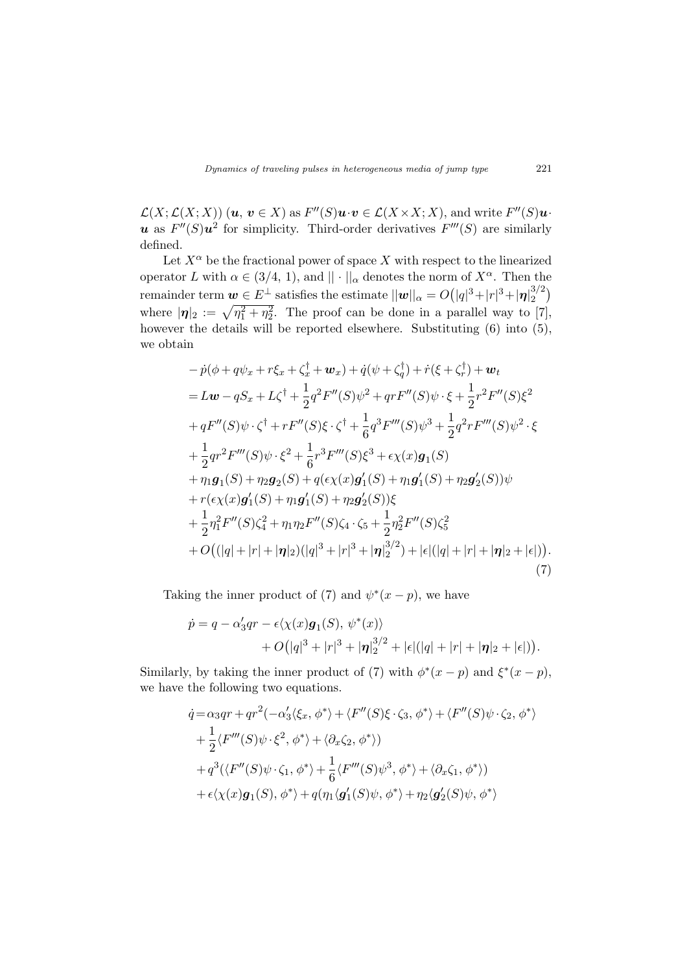$\mathcal{L}(X;\mathcal{L}(X;X))$   $(\boldsymbol{u},\,\boldsymbol{v}\in X)$  as  $F''(S)\boldsymbol{u}\cdot\boldsymbol{v}\in\mathcal{L}(X\times X;X),$  and write  $F''(S)\boldsymbol{u}\cdot\boldsymbol{v}$ *u* as  $F''(S)u^2$  for simplicity. Third-order derivatives  $F'''(S)$  are similarly defined.

Let  $X^{\alpha}$  be the fractional power of space X with respect to the linearized operator *L* with  $\alpha \in (3/4, 1)$ , and  $|| \cdot ||_{\alpha}$  denotes the norm of  $X^{\alpha}$ . Then the  $\alpha = O(|q|^3 + |r|^3 + |\eta|_2^{3/2}$  $_{2}^{3/2})$ where  $|\eta|_2 := \sqrt{\eta_1^2 + \eta_2^2}$ . The proof can be done in a parallel way to [7], however the details will be reported elsewhere. Substituting  $(6)$  into  $(5)$ , we obtain

$$
- p(\phi + q\psi_x + r\xi_x + \zeta_x^{\dagger} + \mathbf{w}_x) + \dot{q}(\psi + \zeta_y^{\dagger}) + \dot{r}(\xi + \zeta_r^{\dagger}) + \mathbf{w}_t
$$
  
\n
$$
= L\mathbf{w} - qS_x + L\zeta^{\dagger} + \frac{1}{2}q^2F''(S)\psi^2 + qrF''(S)\psi \cdot \xi + \frac{1}{2}r^2F''(S)\xi^2
$$
  
\n
$$
+ qF''(S)\psi \cdot \zeta^{\dagger} + rF''(S)\xi \cdot \zeta^{\dagger} + \frac{1}{6}q^3F'''(S)\psi^3 + \frac{1}{2}q^2rF'''(S)\psi^2 \cdot \xi
$$
  
\n
$$
+ \frac{1}{2}qr^2F'''(S)\psi \cdot \xi^2 + \frac{1}{6}r^3F'''(S)\xi^3 + \epsilon \chi(x)\mathbf{g}_1(S)
$$
  
\n
$$
+ \eta_1\mathbf{g}_1(S) + \eta_2\mathbf{g}_2(S) + q(\epsilon \chi(x)\mathbf{g}_1'(S) + \eta_1\mathbf{g}_1'(S) + \eta_2\mathbf{g}_2'(S))\psi
$$
  
\n
$$
+ r(\epsilon \chi(x)\mathbf{g}_1'(S) + \eta_1\mathbf{g}_1'(S) + \eta_2\mathbf{g}_2'(S))\xi
$$
  
\n
$$
+ \frac{1}{2}\eta_1^2F''(S)\zeta_4^2 + \eta_1\eta_2F''(S)\zeta_4 \cdot \zeta_5 + \frac{1}{2}\eta_2^2F''(S)\zeta_5^2
$$
  
\n
$$
+ O((|q| + |r| + |\mathbf{\eta}|_2)(|q|^3 + |r|^3 + |\mathbf{\eta}|_2^{3/2}) + |\epsilon|(|q| + |r| + |\mathbf{\eta}|_2 + |\epsilon|)).
$$
  
\n(7)

Taking the inner product of (7) and  $\psi^*(x-p)$ , we have

$$
\dot{p} = q - \alpha_3' q r - \epsilon \langle \chi(x) \mathbf{g}_1(S), \psi^*(x) \rangle + O(|q|^3 + |r|^3 + |\mathbf{\eta}|_2^{3/2} + |\epsilon|(|q| + |r| + |\mathbf{\eta}|_2 + |\epsilon|)).
$$

Similarly, by taking the inner product of (7) with  $\phi^*(x-p)$  and  $\xi^*(x-p)$ , we have the following two equations.

$$
\dot{q} = \alpha_3qr + qr^2(-\alpha_3'\langle \xi_x, \phi^* \rangle + \langle F''(S)\xi \cdot \zeta_3, \phi^* \rangle + \langle F''(S)\psi \cdot \zeta_2, \phi^* \rangle
$$
  
+ 
$$
\frac{1}{2}\langle F'''(S)\psi \cdot \xi^2, \phi^* \rangle + \langle \partial_x \zeta_2, \phi^* \rangle)
$$
  
+ 
$$
q^3(\langle F''(S)\psi \cdot \zeta_1, \phi^* \rangle + \frac{1}{6}\langle F'''(S)\psi^3, \phi^* \rangle + \langle \partial_x \zeta_1, \phi^* \rangle)
$$
  
+ 
$$
\epsilon \langle \chi(x)g_1(S), \phi^* \rangle + q(\eta_1 \langle g'_1(S)\psi, \phi^* \rangle + \eta_2 \langle g'_2(S)\psi, \phi^* \rangle
$$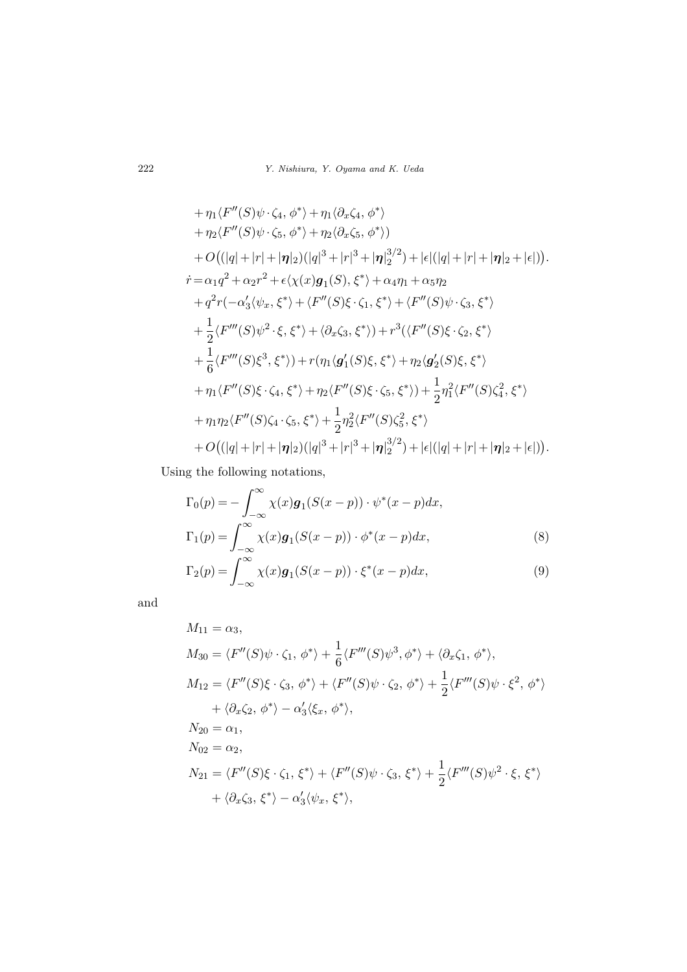+ 
$$
\eta_1 \langle F''(S)\psi \cdot \zeta_4, \phi^* \rangle + \eta_1 \langle \partial_x \zeta_4, \phi^* \rangle
$$
  
\n+  $\eta_2 \langle F''(S)\psi \cdot \zeta_5, \phi^* \rangle + \eta_2 \langle \partial_x \zeta_5, \phi^* \rangle)$   
\n+  $O((|q| + |r| + |\eta|_2)(|q|^3 + |r|^3 + |\eta|_2^{3/2}) + |\epsilon|(|q| + |r| + |\eta|_2 + |\epsilon|)).$   
\n $\dot{r} = \alpha_1 q^2 + \alpha_2 r^2 + \epsilon \langle \chi(x) \mathbf{g}_1(S), \xi^* \rangle + \alpha_4 \eta_1 + \alpha_5 \eta_2$   
\n+  $q^2 r(-\alpha_3' \langle \psi_x, \xi^* \rangle + \langle F''(S)\xi \cdot \zeta_1, \xi^* \rangle + \langle F''(S)\psi \cdot \zeta_3, \xi^* \rangle$   
\n+  $\frac{1}{2} \langle F'''(S)\psi^2 \cdot \xi, \xi^* \rangle + \langle \partial_x \zeta_3, \xi^* \rangle + r^3 \langle \langle F''(S)\xi \cdot \zeta_2, \xi^* \rangle$   
\n+  $\frac{1}{6} \langle F'''(S)\xi^3, \xi^* \rangle + r(\eta_1 \langle \mathbf{g}'_1(S)\xi, \xi^* \rangle + \eta_2 \langle \mathbf{g}'_2(S)\xi, \xi^* \rangle$   
\n+  $\eta_1 \langle F''(S)\xi \cdot \zeta_4, \xi^* \rangle + \eta_2 \langle F''(S)\xi \cdot \zeta_5, \xi^* \rangle + \frac{1}{2} \eta_1^2 \langle F''(S)\zeta_4^2, \xi^* \rangle$   
\n+  $\eta_1 \eta_2 \langle F''(S)\zeta_4, \zeta_5, \xi^* \rangle + \frac{1}{2} \eta_2^2 \langle F''(S)\zeta_5, \xi^* \rangle$   
\n+  $O((|q| + |r| + |\eta|_2)(|q|^3 + |r|^3 + |\eta|_2^{3/2}) + |\epsilon|(|q| + |r| + |\eta|_2 + |\epsilon|)).$ 

Using the following notations,

$$
\Gamma_0(p) = -\int_{-\infty}^{\infty} \chi(x) \mathbf{g}_1(S(x-p)) \cdot \psi^*(x-p) dx,
$$
  
\n
$$
\Gamma_1(p) = \int_{-\infty}^{\infty} \chi(x) \mathbf{g}_1(S(x-p)) \cdot \phi^*(x-p) dx,
$$
\n(8)

$$
\Gamma_2(p) = \int_{-\infty}^{\infty} \chi(x) \mathbf{g}_1(S(x-p)) \cdot \xi^*(x-p) dx, \tag{9}
$$

and

$$
M_{11} = \alpha_3,
$$
  
\n
$$
M_{30} = \langle F''(S)\psi \cdot \zeta_1, \phi^* \rangle + \frac{1}{6} \langle F'''(S)\psi^3, \phi^* \rangle + \langle \partial_x \zeta_1, \phi^* \rangle,
$$
  
\n
$$
M_{12} = \langle F''(S)\xi \cdot \zeta_3, \phi^* \rangle + \langle F''(S)\psi \cdot \zeta_2, \phi^* \rangle + \frac{1}{2} \langle F'''(S)\psi \cdot \xi^2, \phi^* \rangle
$$
  
\n
$$
+ \langle \partial_x \zeta_2, \phi^* \rangle - \alpha_3' \langle \xi_x, \phi^* \rangle,
$$
  
\n
$$
N_{20} = \alpha_1,
$$
  
\n
$$
N_{02} = \alpha_2,
$$
  
\n
$$
N_{21} = \langle F''(S)\xi \cdot \zeta_1, \xi^* \rangle + \langle F''(S)\psi \cdot \zeta_3, \xi^* \rangle + \frac{1}{2} \langle F'''(S)\psi^2 \cdot \xi, \xi^* \rangle
$$
  
\n
$$
+ \langle \partial_x \zeta_3, \xi^* \rangle - \alpha_3' \langle \psi_x, \xi^* \rangle,
$$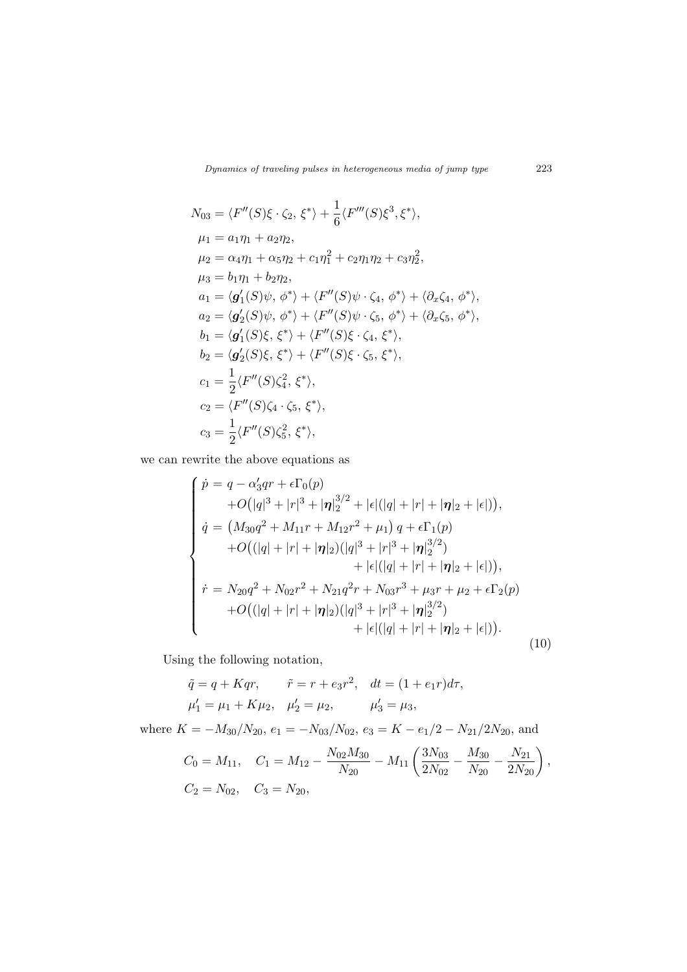*Dynamics of traveling pulses in heterogeneous media of jump type* 223

$$
N_{03} = \langle F''(S)\xi \cdot \zeta_2, \xi^* \rangle + \frac{1}{6} \langle F'''(S)\xi^3, \xi^* \rangle,
$$
  
\n
$$
\mu_1 = a_1 \eta_1 + a_2 \eta_2,
$$
  
\n
$$
\mu_2 = \alpha_4 \eta_1 + \alpha_5 \eta_2 + c_1 \eta_1^2 + c_2 \eta_1 \eta_2 + c_3 \eta_2^2,
$$
  
\n
$$
\mu_3 = b_1 \eta_1 + b_2 \eta_2,
$$
  
\n
$$
a_1 = \langle g'_1(S)\psi, \phi^* \rangle + \langle F''(S)\psi \cdot \zeta_4, \phi^* \rangle + \langle \partial_x \zeta_4, \phi^* \rangle,
$$
  
\n
$$
a_2 = \langle g'_2(S)\psi, \phi^* \rangle + \langle F''(S)\psi \cdot \zeta_5, \phi^* \rangle + \langle \partial_x \zeta_5, \phi^* \rangle,
$$
  
\n
$$
b_1 = \langle g'_1(S)\xi, \xi^* \rangle + \langle F''(S)\xi \cdot \zeta_4, \xi^* \rangle,
$$
  
\n
$$
b_2 = \langle g'_2(S)\xi, \xi^* \rangle + \langle F''(S)\xi \cdot \zeta_5, \xi^* \rangle,
$$
  
\n
$$
c_1 = \frac{1}{2} \langle F''(S)\zeta_4, \xi^* \rangle,
$$
  
\n
$$
c_2 = \langle F''(S)\zeta_4, \xi_5, \xi^* \rangle,
$$
  
\n
$$
c_3 = \frac{1}{2} \langle F''(S)\zeta_5^2, \xi^* \rangle,
$$

we can rewrite the above equations as

$$
\begin{cases}\n\dot{p} = q - \alpha_3'qr + \epsilon \Gamma_0(p) \\
+ O(|q|^3 + |r|^3 + |\eta|_2^{3/2} + |\epsilon|(|q| + |r| + |\eta|_2 + |\epsilon|)), \\
\dot{q} = (M_{30}q^2 + M_{11}r + M_{12}r^2 + \mu_1) q + \epsilon \Gamma_1(p) \\
+ O(|q| + |r| + |\eta|_2)(|q|^3 + |r|^3 + |\eta|_2^{3/2}) \\
+ |\epsilon|(|q| + |r| + |\eta|_2 + |\epsilon|)), \\
\dot{r} = N_{20}q^2 + N_{02}r^2 + N_{21}q^2r + N_{03}r^3 + \mu_3r + \mu_2 + \epsilon \Gamma_2(p) \\
+ O(|q| + |r| + |\eta|_2)(|q|^3 + |r|^3 + |\eta|_2^{3/2}) \\
+ |\epsilon|(|q| + |r| + |\eta|_2 + |\epsilon|)).\n\end{cases}
$$
\n(10)

Using the following notation,

$$
\tilde{q} = q + Kqr, \qquad \tilde{r} = r + e_3r^2, \quad dt = (1 + e_1r)d\tau,
$$
  
\n
$$
\mu'_1 = \mu_1 + K\mu_2, \quad \mu'_2 = \mu_2, \qquad \mu'_3 = \mu_3,
$$
  
\nwhere  $K = -M_{30}/N_{20}, e_1 = -N_{03}/N_{02}, e_3 = K - e_1/2 - N_{21}/2N_{20}$ , and

$$
C_0 = M_{11}, \quad C_1 = M_{12} - \frac{N_{02}M_{30}}{N_{20}} - M_{11} \left(\frac{3N_{03}}{2N_{02}} - \frac{M_{30}}{N_{20}} - \frac{N_{21}}{2N_{20}}\right),
$$
  
\n
$$
C_2 = N_{02}, \quad C_3 = N_{20},
$$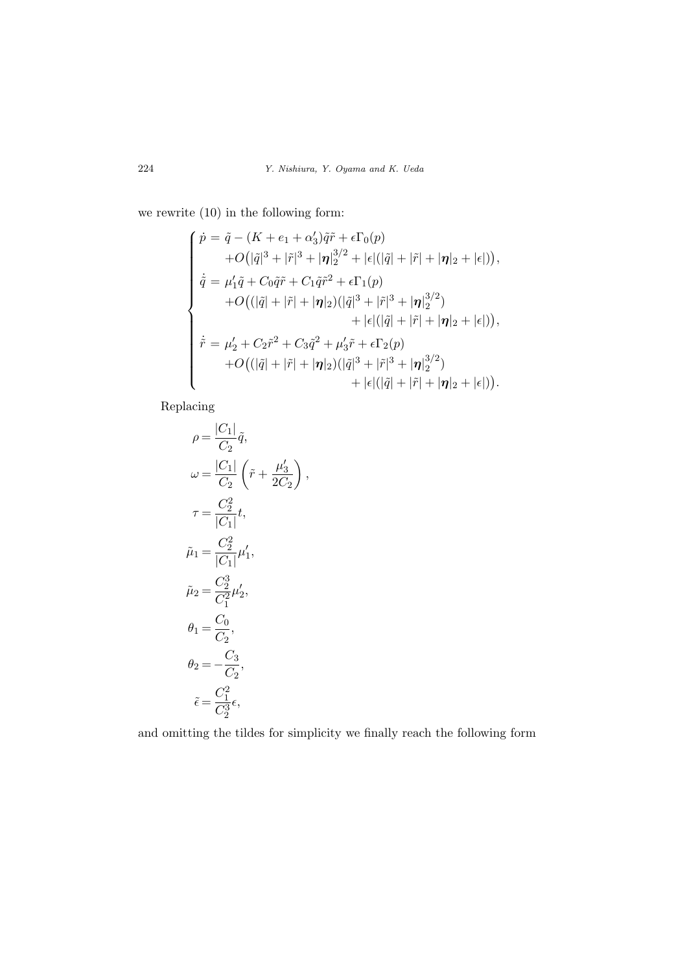we rewrite (10) in the following form:

$$
\begin{cases}\n\dot{p} = \tilde{q} - (K + e_1 + \alpha'_3)\tilde{q}\tilde{r} + \epsilon\Gamma_0(p) \\
+ O(|\tilde{q}|^3 + |\tilde{r}|^3 + |\eta|_2^{3/2} + |\epsilon|(|\tilde{q}| + |\tilde{r}| + |\eta|_2 + |\epsilon|)), \\
\dot{\tilde{q}} = \mu'_1 \tilde{q} + C_0 \tilde{q}\tilde{r} + C_1 \tilde{q}\tilde{r}^2 + \epsilon\Gamma_1(p) \\
+ O((|\tilde{q}| + |\tilde{r}| + |\eta|_2)(|\tilde{q}|^3 + |\tilde{r}|^3 + |\eta|_2^{3/2}) \\
+ |\epsilon|(|\tilde{q}| + |\tilde{r}| + |\eta|_2 + |\epsilon|)), \\
\dot{\tilde{r}} = \mu'_2 + C_2 \tilde{r}^2 + C_3 \tilde{q}^2 + \mu'_3 \tilde{r} + \epsilon\Gamma_2(p) \\
+ O((|\tilde{q}| + |\tilde{r}| + |\eta|_2)(|\tilde{q}|^3 + |\tilde{r}|^3 + |\eta|_2^{3/2}) \\
+ |\epsilon|(|\tilde{q}| + |\tilde{r}| + |\eta|_2 + |\epsilon|)).\n\end{cases}
$$

*,*

Replacing

$$
\rho = \frac{|C_1|}{C_2}\tilde{q},
$$
\n
$$
\omega = \frac{|C_1|}{C_2}\left(\tilde{r} + \frac{\mu'_3}{2C_2}\right)
$$
\n
$$
\tau = \frac{C_2^2}{|C_1|}t,
$$
\n
$$
\tilde{\mu}_1 = \frac{C_2^2}{|C_1|}\mu'_1,
$$
\n
$$
\tilde{\mu}_2 = \frac{C_2^3}{C_1^2}\mu'_2,
$$
\n
$$
\theta_1 = \frac{C_0}{C_2},
$$
\n
$$
\theta_2 = -\frac{C_3}{C_2^2},
$$
\n
$$
\tilde{\epsilon} = \frac{C_1^2}{C_2^2}\epsilon,
$$

and omitting the tildes for simplicity we finally reach the following form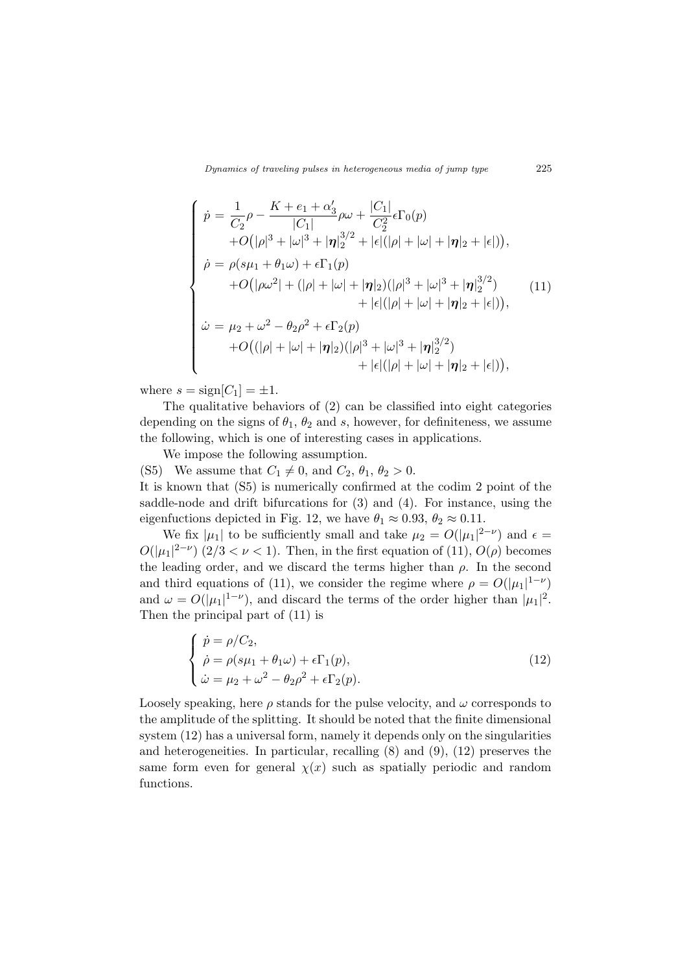*Dynamics of traveling pulses in heterogeneous media of jump type* 225

$$
\begin{cases}\n\dot{p} = \frac{1}{C_2} \rho - \frac{K + e_1 + \alpha'_3}{|C_1|} \rho \omega + \frac{|C_1|}{C_2^2} \epsilon \Gamma_0(p) \\
+ O(|\rho|^3 + |\omega|^3 + |\eta|_2^{3/2} + |\epsilon|(|\rho| + |\omega| + |\eta|_2 + |\epsilon|)), \\
\dot{\rho} = \rho(s\mu_1 + \theta_1\omega) + \epsilon \Gamma_1(p) \\
+ O(|\rho\omega^2| + (|\rho| + |\omega| + |\eta|_2)(|\rho|^3 + |\omega|^3 + |\eta|_2^{3/2}) \\
+ |\epsilon|(|\rho| + |\omega| + |\eta|_2 + |\epsilon|)), \\
\dot{\omega} = \mu_2 + \omega^2 - \theta_2 \rho^2 + \epsilon \Gamma_2(p) \\
+ O((|\rho| + |\omega| + |\eta|_2)(|\rho|^3 + |\omega|^3 + |\eta|_2^{3/2}) \\
+ |\epsilon|(|\rho| + |\omega| + |\eta|_2 + |\epsilon|)),\n\end{cases} (11)
$$

where  $s = \text{sign}[C_1] = \pm 1$ .

The qualitative behaviors of (2) can be classified into eight categories depending on the signs of  $\theta_1$ ,  $\theta_2$  and *s*, however, for definiteness, we assume the following, which is one of interesting cases in applications.

We impose the following assumption.

(S5) We assume that  $C_1 \neq 0$ , and  $C_2$ ,  $\theta_1$ ,  $\theta_2 > 0$ . It is known that (S5) is numerically confirmed at the codim 2 point of the saddle-node and drift bifurcations for (3) and (4). For instance, using the eigenfuctions depicted in Fig. 12, we have  $\theta_1 \approx 0.93$ ,  $\theta_2 \approx 0.11$ .

We fix  $|\mu_1|$  to be sufficiently small and take  $\mu_2 = O(|\mu_1|^{2-\nu})$  and  $\epsilon =$  $O(|\mu_1|^{2-\nu})$  (2/3 < *v* < 1). Then, in the first equation of (11),  $O(\rho)$  becomes the leading order, and we discard the terms higher than  $\rho$ . In the second and third equations of (11), we consider the regime where  $\rho = O(|\mu_1|^{1-\nu})$ and  $\omega = O(|\mu_1|^{1-\nu})$ , and discard the terms of the order higher than  $|\mu_1|^2$ . Then the principal part of (11) is

$$
\begin{cases}\n\dot{p} = \rho/C_2, \\
\dot{\rho} = \rho(s\mu_1 + \theta_1\omega) + \epsilon\Gamma_1(p), \\
\dot{\omega} = \mu_2 + \omega^2 - \theta_2\rho^2 + \epsilon\Gamma_2(p).\n\end{cases}
$$
\n(12)

Loosely speaking, here  $\rho$  stands for the pulse velocity, and  $\omega$  corresponds to the amplitude of the splitting. It should be noted that the finite dimensional system (12) has a universal form, namely it depends only on the singularities and heterogeneities. In particular, recalling (8) and (9), (12) preserves the same form even for general  $\chi(x)$  such as spatially periodic and random functions.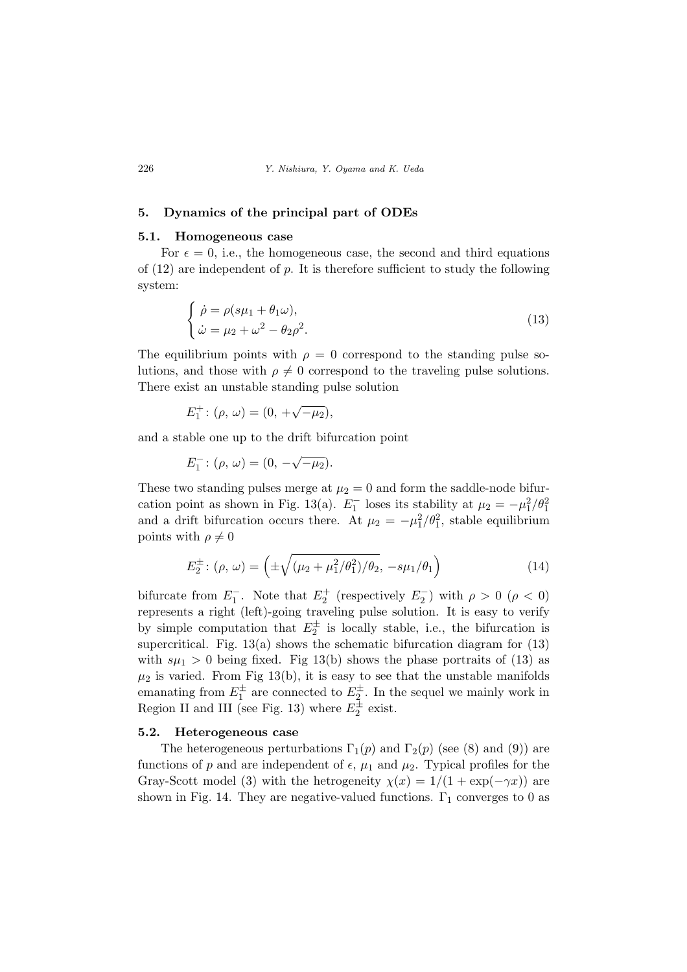#### **5. Dynamics of the principal part of ODEs**

## **5.1. Homogeneous case**

For  $\epsilon = 0$ , i.e., the homogeneous case, the second and third equations of (12) are independent of *p*. It is therefore sufficient to study the following system:

$$
\begin{cases}\n\dot{\rho} = \rho(s\mu_1 + \theta_1\omega), \\
\dot{\omega} = \mu_2 + \omega^2 - \theta_2\rho^2.\n\end{cases}
$$
\n(13)

The equilibrium points with  $\rho = 0$  correspond to the standing pulse solutions, and those with  $\rho \neq 0$  correspond to the traveling pulse solutions. There exist an unstable standing pulse solution

$$
E_1^+ : (\rho, \, \omega) = (0, \, +\sqrt{-\mu_2}),
$$

and a stable one up to the drift bifurcation point

$$
E_1^-: (\rho, \, \omega) = (0, \, -\sqrt{-\mu_2}).
$$

These two standing pulses merge at  $\mu_2 = 0$  and form the saddle-node bifurcation point as shown in Fig. 13(a).  $E_1^-$  loses its stability at  $\mu_2 = -\mu_1^2/\theta_1^2$ and a drift bifurcation occurs there. At  $\mu_2 = -\mu_1^2/\theta_1^2$ , stable equilibrium points with  $\rho \neq 0$ 

$$
E_2^{\pm} : (\rho, \, \omega) = \left( \pm \sqrt{(\mu_2 + \mu_1^2/\theta_1^2)/\theta_2}, \, -s\mu_1/\theta_1 \right) \tag{14}
$$

bifurcate from  $E_1^-$ . Note that  $E_2^+$  (respectively  $E_2^-$ ) with  $\rho > 0$  ( $\rho < 0$ ) represents a right (left)-going traveling pulse solution. It is easy to verify by simple computation that  $E_2^{\pm}$  is locally stable, i.e., the bifurcation is supercritical. Fig.  $13(a)$  shows the schematic bifurcation diagram for  $(13)$ with  $s\mu_1 > 0$  being fixed. Fig 13(b) shows the phase portraits of (13) as  $\mu_2$  is varied. From Fig 13(b), it is easy to see that the unstable manifolds emanating from  $E_1^{\pm}$  are connected to  $E_2^{\pm}$ . In the sequel we mainly work in Region II and III (see Fig. 13) where  $E_2^{\pm}$  exist.

#### **5.2. Heterogeneous case**

The heterogeneous perturbations  $\Gamma_1(p)$  and  $\Gamma_2(p)$  (see (8) and (9)) are functions of *p* and are independent of  $\epsilon$ ,  $\mu_1$  and  $\mu_2$ . Typical profiles for the Gray-Scott model (3) with the hetrogeneity  $\chi(x) = 1/(1 + \exp(-\gamma x))$  are shown in Fig. 14. They are negative-valued functions.  $\Gamma_1$  converges to 0 as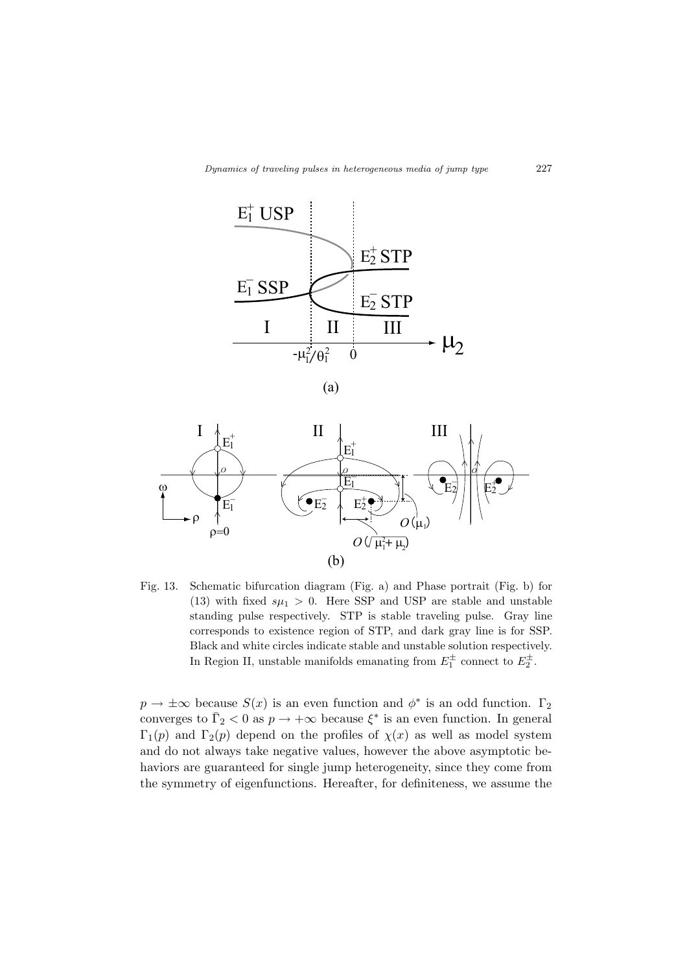

(a)



Fig. 13. Schematic bifurcation diagram (Fig. a) and Phase portrait (Fig. b) for (13) with fixed  $s\mu_1 > 0$ . Here SSP and USP are stable and unstable standing pulse respectively. STP is stable traveling pulse. Gray line corresponds to existence region of STP, and dark gray line is for SSP. Black and white circles indicate stable and unstable solution respectively. In Region II, unstable manifolds emanating from  $E_1^{\pm}$  connect to  $E_2^{\pm}$ .

 $p \to \pm \infty$  because  $S(x)$  is an even function and  $\phi^*$  is an odd function.  $\Gamma_2$ converges to  $\bar{\Gamma}_2 < 0$  as  $p \to +\infty$  because  $\xi^*$  is an even function. In general  $\Gamma_1(p)$  and  $\Gamma_2(p)$  depend on the profiles of  $\chi(x)$  as well as model system and do not always take negative values, however the above asymptotic behaviors are guaranteed for single jump heterogeneity, since they come from the symmetry of eigenfunctions. Hereafter, for definiteness, we assume the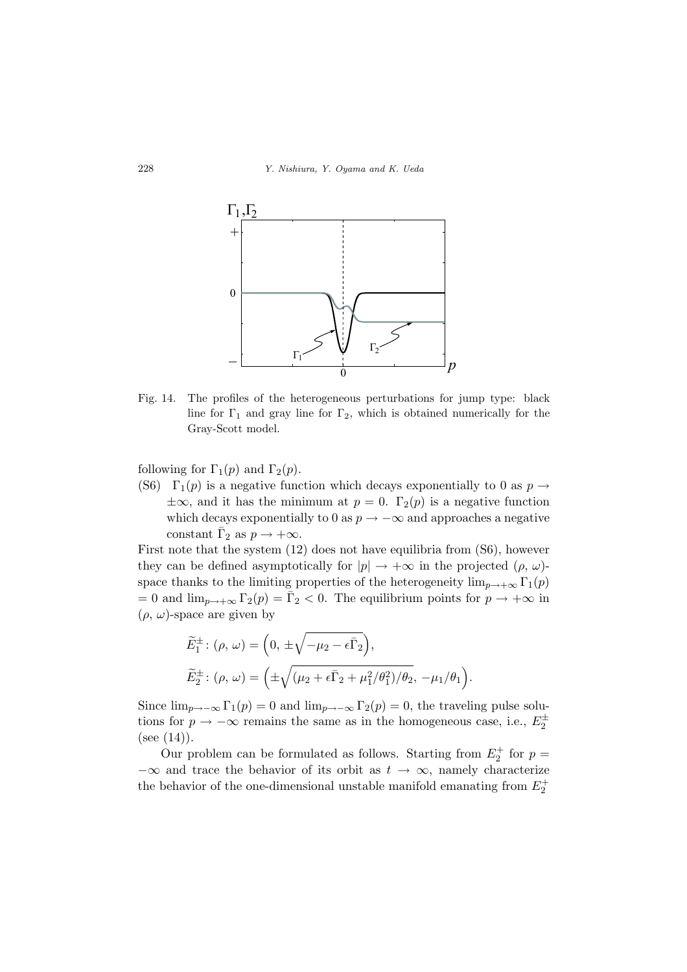

Fig. 14. The profiles of the heterogeneous perturbations for jump type: black line for  $\Gamma_1$  and gray line for  $\Gamma_2$ , which is obtained numerically for the Gray-Scott model.

following for  $\Gamma_1(p)$  and  $\Gamma_2(p)$ .

(S6)  $\Gamma_1(p)$  is a negative function which decays exponentially to 0 as  $p \rightarrow$  $\pm\infty$ , and it has the minimum at *p* = 0.  $\Gamma_2(p)$  is a negative function which decays exponentially to 0 as  $p \to -\infty$  and approaches a negative constant  $\bar{\Gamma}_2$  as  $p \to +\infty$ .

First note that the system (12) does not have equilibria from (S6), however they can be defined asymptotically for  $|p| \to +\infty$  in the projected  $(\rho, \omega)$ space thanks to the limiting properties of the heterogeneity  $\lim_{p\to+\infty} \Gamma_1(p)$  $= 0$  and  $\lim_{p \to +\infty} \Gamma_2(p) = \overline{\Gamma}_2 < 0$ . The equilibrium points for  $p \to +\infty$  in (*ρ, ω*)-space are given by

$$
\widetilde{E}_1^{\pm} : (\rho, \omega) = \left(0, \pm \sqrt{-\mu_2 - \epsilon \bar{\Gamma}_2}\right),
$$
  

$$
\widetilde{E}_2^{\pm} : (\rho, \omega) = \left(\pm \sqrt{(\mu_2 + \epsilon \bar{\Gamma}_2 + \mu_1^2/\theta_1^2)/\theta_2}, -\mu_1/\theta_1\right).
$$

Since  $\lim_{p\to-\infty} \Gamma_1(p) = 0$  and  $\lim_{p\to-\infty} \Gamma_2(p) = 0$ , the traveling pulse solutions for  $p \to -\infty$  remains the same as in the homogeneous case, i.e.,  $E_2^{\pm}$  $(see (14)).$ 

Our problem can be formulated as follows. Starting from  $E_2^+$  for  $p =$ *−∞* and trace the behavior of its orbit as *t → ∞*, namely characterize the behavior of the one-dimensional unstable manifold emanating from  $E_2^+$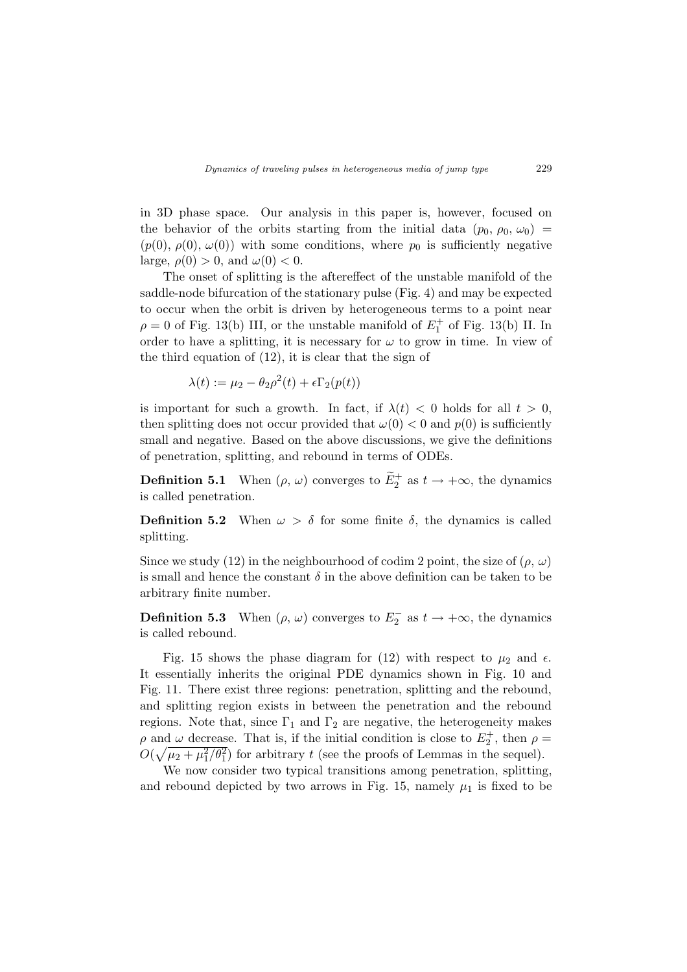in 3D phase space. Our analysis in this paper is, however, focused on the behavior of the orbits starting from the initial data  $(p_0, \rho_0, \omega_0)$  $(p(0), p(0), \omega(0))$  with some conditions, where  $p_0$  is sufficiently negative large,  $\rho(0) > 0$ , and  $\omega(0) < 0$ .

The onset of splitting is the aftereffect of the unstable manifold of the saddle-node bifurcation of the stationary pulse (Fig. 4) and may be expected to occur when the orbit is driven by heterogeneous terms to a point near  $\rho = 0$  of Fig. 13(b) III, or the unstable manifold of  $E_1^+$  of Fig. 13(b) II. In order to have a splitting, it is necessary for  $\omega$  to grow in time. In view of the third equation of (12), it is clear that the sign of

$$
\lambda(t) := \mu_2 - \theta_2 \rho^2(t) + \epsilon \Gamma_2(p(t))
$$

is important for such a growth. In fact, if  $\lambda(t) < 0$  holds for all  $t > 0$ , then splitting does not occur provided that  $\omega(0) < 0$  and  $p(0)$  is sufficiently small and negative. Based on the above discussions, we give the definitions of penetration, splitting, and rebound in terms of ODEs.

**Definition 5.1** When  $(\rho, \omega)$  converges to  $E_2^+$  as  $t \to +\infty$ , the dynamics is called penetration.

**Definition 5.2** When  $\omega > \delta$  for some finite  $\delta$ , the dynamics is called splitting.

Since we study (12) in the neighbourhood of codim 2 point, the size of  $(\rho, \omega)$ is small and hence the constant  $\delta$  in the above definition can be taken to be arbitrary finite number.

**Definition 5.3** When  $(\rho, \omega)$  converges to  $E_2^-$  as  $t \to +\infty$ , the dynamics is called rebound.

Fig. 15 shows the phase diagram for (12) with respect to  $\mu_2$  and  $\epsilon$ . It essentially inherits the original PDE dynamics shown in Fig. 10 and Fig. 11. There exist three regions: penetration, splitting and the rebound, and splitting region exists in between the penetration and the rebound regions. Note that, since  $\Gamma_1$  and  $\Gamma_2$  are negative, the heterogeneity makes *ρ* and *ω* decrease. That is, if the initial condition is close to  $E_2^+$ , then  $\rho =$  $O(\sqrt{\mu_2 + \mu_1^2/\theta_1^2})$  for arbitrary *t* (see the proofs of Lemmas in the sequel).

We now consider two typical transitions among penetration, splitting, and rebound depicted by two arrows in Fig. 15, namely  $\mu_1$  is fixed to be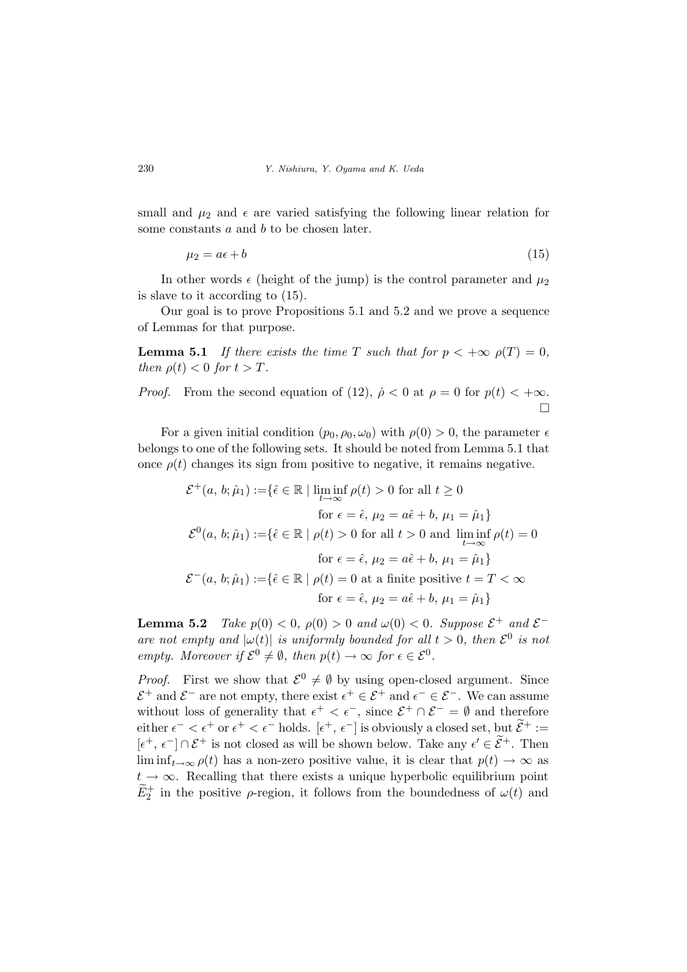small and  $\mu_2$  and  $\epsilon$  are varied satisfying the following linear relation for some constants *a* and *b* to be chosen later.

$$
\mu_2 = a\epsilon + b \tag{15}
$$

In other words  $\epsilon$  (height of the jump) is the control parameter and  $\mu_2$ is slave to it according to (15).

Our goal is to prove Propositions 5.1 and 5.2 and we prove a sequence of Lemmas for that purpose.

**Lemma 5.1** *If there exists the time T such that for*  $p < +\infty$   $\rho(T) = 0$ *, then*  $\rho(t) < 0$  *for*  $t > T$ *.* 

*Proof.* From the second equation of (12),  $\rho < 0$  at  $\rho = 0$  for  $p(t) < +\infty$ . ¤

For a given initial condition  $(p_0, \rho_0, \omega_0)$  with  $\rho(0) > 0$ , the parameter  $\epsilon$ belongs to one of the following sets. It should be noted from Lemma 5.1 that once  $\rho(t)$  changes its sign from positive to negative, it remains negative.

$$
\mathcal{E}^+(a, b; \hat{\mu}_1) := \{ \hat{\epsilon} \in \mathbb{R} \mid \liminf_{t \to \infty} \rho(t) > 0 \text{ for all } t \ge 0
$$
  
for  $\epsilon = \hat{\epsilon}, \mu_2 = a\hat{\epsilon} + b, \mu_1 = \hat{\mu}_1 \}$   

$$
\mathcal{E}^0(a, b; \hat{\mu}_1) := \{ \hat{\epsilon} \in \mathbb{R} \mid \rho(t) > 0 \text{ for all } t > 0 \text{ and } \liminf_{t \to \infty} \rho(t) = 0
$$
  
for  $\epsilon = \hat{\epsilon}, \mu_2 = a\hat{\epsilon} + b, \mu_1 = \hat{\mu}_1 \}$   

$$
\mathcal{E}^-(a, b; \hat{\mu}_1) := \{ \hat{\epsilon} \in \mathbb{R} \mid \rho(t) = 0 \text{ at a finite positive } t = T < \infty
$$
  
for  $\epsilon = \hat{\epsilon}, \mu_2 = a\hat{\epsilon} + b, \mu_1 = \hat{\mu}_1 \}$ 

**Lemma 5.2** *Take*  $p(0) < 0$ ,  $\rho(0) > 0$  *and*  $\omega(0) < 0$ *. Suppose*  $\mathcal{E}^+$  *and*  $\mathcal{E}^$ *are not empty and*  $|\omega(t)|$  *is uniformly bounded for all*  $t > 0$ *, then*  $\mathcal{E}^0$  *is not empty. Moreover if*  $\mathcal{E}^0 \neq \emptyset$ *, then*  $p(t) \rightarrow \infty$  *for*  $\epsilon \in \mathcal{E}^0$ *.* 

*Proof.* First we show that  $\mathcal{E}^0 \neq \emptyset$  by using open-closed argument. Since  $\mathcal{E}^+$  and  $\mathcal{E}^-$  are not empty, there exist  $\epsilon^+ \in \mathcal{E}^+$  and  $\epsilon^- \in \mathcal{E}^-$ . We can assume without loss of generality that  $\epsilon^+ < \epsilon^-$ , since  $\mathcal{E}^+ \cap \mathcal{E}^- = \emptyset$  and therefore either  $\epsilon^- < \epsilon^+$  or  $\epsilon^+ < \epsilon^-$  holds.  $[\epsilon^+, \epsilon^-]$  is obviously a closed set, but  $\widetilde{\mathcal{E}}^+ :=$  $[\epsilon^+, \epsilon^-]$  ∩  $\mathcal{E}^+$  is not closed as will be shown below. Take any  $\epsilon' \in \widetilde{\mathcal{E}}^+$ . Then lim inf<sub> $t\rightarrow\infty$ </sub>  $\rho(t)$  has a non-zero positive value, it is clear that  $p(t) \rightarrow \infty$  as  $t \rightarrow \infty$ . Recalling that there exists a unique hyperbolic equilibrium point  $\widetilde{E}_2^+$  in the positive *ρ*-region, it follows from the boundedness of  $\omega(t)$  and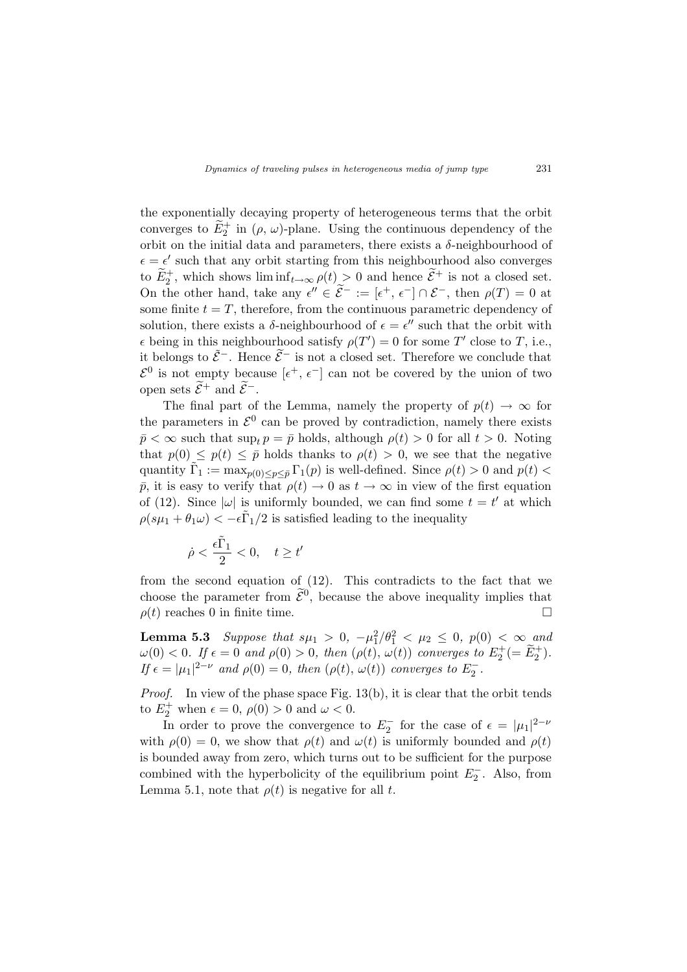the exponentially decaying property of heterogeneous terms that the orbit converges to  $\widetilde{E}_2^+$  in  $(\rho, \omega)$ -plane. Using the continuous dependency of the orbit on the initial data and parameters, there exists a *δ*-neighbourhood of  $\epsilon = \epsilon'$  such that any orbit starting from this neighbourhood also converges to  $\widetilde{E}_2^+$ , which shows  $\liminf_{t\to\infty} \rho(t) > 0$  and hence  $\widetilde{\mathcal{E}}^+$  is not a closed set. On the other hand, take any  $\epsilon'' \in \tilde{\mathcal{E}}^- := [\epsilon^+, \epsilon^-] \cap \mathcal{E}^-,$  then  $\rho(T) = 0$  at some finite  $t = T$ , therefore, from the continuous parametric dependency of solution, there exists a  $\delta$ -neighbourhood of  $\epsilon = \epsilon''$  such that the orbit with  $\epsilon$  being in this neighbourhood satisfy  $\rho(T') = 0$  for some *T*' close to *T*, i.e., it belongs to  $\tilde{\mathcal{E}}$ <sup>−</sup>. Hence  $\tilde{\mathcal{E}}$ <sup>−</sup> is not a closed set. Therefore we conclude that  $\mathcal{E}^0$  is not empty because  $[\epsilon^+, \epsilon^-]$  can not be covered by the union of two open sets  $\widetilde{\mathcal{E}}$ <sup>+</sup> and  $\widetilde{\mathcal{E}}$ <sup>−</sup>.

The final part of the Lemma, namely the property of  $p(t) \rightarrow \infty$  for the parameters in  $\mathcal{E}^0$  can be proved by contradiction, namely there exists  $\bar{p} < \infty$  such that sup<sub>t</sub>  $p = \bar{p}$  holds, although  $\rho(t) > 0$  for all  $t > 0$ . Noting that  $p(0) \leq p(t) \leq \bar{p}$  holds thanks to  $\rho(t) > 0$ , we see that the negative quantity  $\tilde{\Gamma}_1 := \max_{p(0) \le p \le \bar{p}} \Gamma_1(p)$  is well-defined. Since  $\rho(t) > 0$  and  $p(t) <$  $\bar{p}$ , it is easy to verify that  $\rho(t) \to 0$  as  $t \to \infty$  in view of the first equation of (12). Since  $|\omega|$  is uniformly bounded, we can find some  $t = t'$  at which  $\rho(s\mu_1 + \theta_1\omega) < -\epsilon \tilde{\Gamma}_1/2$  is satisfied leading to the inequality

$$
\dot{\rho}<\frac{\epsilon\tilde{\Gamma}_1}{2}<0,\quad t\geq t'
$$

from the second equation of (12). This contradicts to the fact that we choose the parameter from  $\tilde{\mathcal{E}}^0$ , because the above inequality implies that  $\rho(t)$  reaches 0 in finite time.

**Lemma 5.3** *Suppose that*  $s\mu_1 > 0$ ,  $-\mu_1^2/\theta_1^2 < \mu_2 \le 0$ ,  $p(0) < \infty$  and  $\omega(0) < 0$ . If  $\epsilon = 0$  and  $\rho(0) > 0$ , then  $(\rho(t), \omega(t))$  converges to  $E_2^+ (= \tilde{E}_2^+)$ . *If*  $\epsilon = |\mu_1|^{2-\nu}$  *and*  $\rho(0) = 0$ *, then*  $(\rho(t), \omega(t))$  *converges to*  $E_2^-$ *.* 

*Proof.* In view of the phase space Fig. 13(b), it is clear that the orbit tends to  $E_2^+$  when  $\epsilon = 0$ ,  $\rho(0) > 0$  and  $\omega < 0$ .

In order to prove the convergence to  $E_2^-$  for the case of  $\epsilon = |\mu_1|^{2-\nu}$ with  $\rho(0) = 0$ , we show that  $\rho(t)$  and  $\omega(t)$  is uniformly bounded and  $\rho(t)$ is bounded away from zero, which turns out to be sufficient for the purpose combined with the hyperbolicity of the equilibrium point  $E_2^-$ . Also, from Lemma 5.1, note that  $\rho(t)$  is negative for all *t*.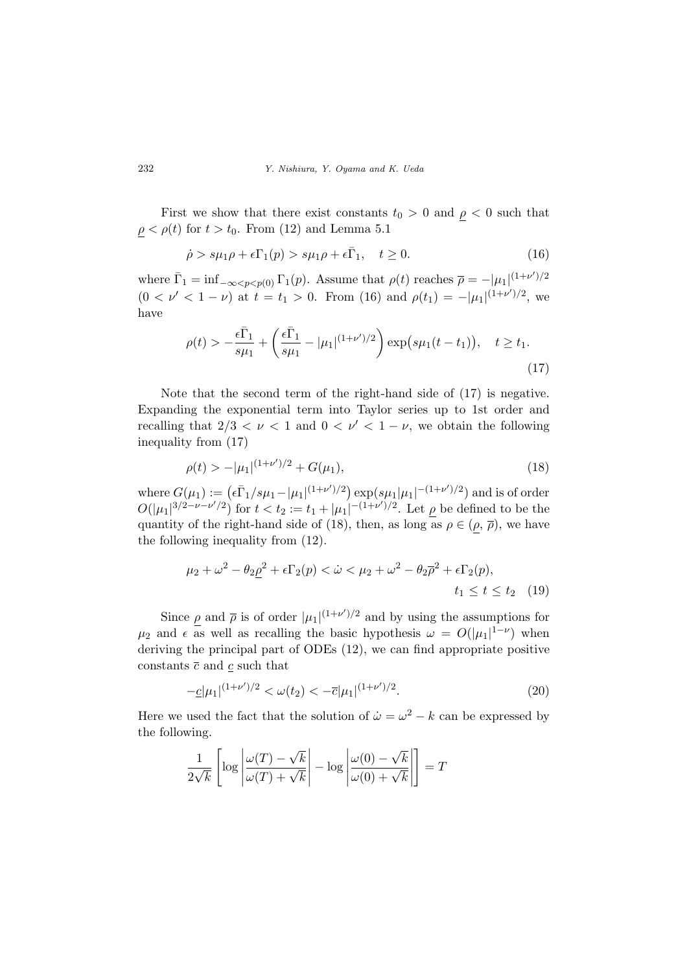First we show that there exist constants  $t_0 > 0$  and  $\rho < 0$  such that  $\rho < \rho(t)$  for  $t > t_0$ . From (12) and Lemma 5.1

$$
\dot{\rho} > s\mu_1\rho + \epsilon \Gamma_1(p) > s\mu_1\rho + \epsilon \bar{\Gamma}_1, \quad t \ge 0.
$$
\n(16)

where  $\bar{\Gamma}_1 = \inf_{-\infty < p < p(0)} \Gamma_1(p)$ . Assume that  $\rho(t)$  reaches  $\bar{\rho} = -|\mu_1|^{(1+\nu')/2}$  $(0 < \nu' < 1 - \nu)$  at  $t = t_1 > 0$ . From (16) and  $\rho(t_1) = -|\mu_1|^{(1+\nu')/2}$ , we have

$$
\rho(t) > -\frac{\epsilon \bar{\Gamma}_1}{s\mu_1} + \left(\frac{\epsilon \bar{\Gamma}_1}{s\mu_1} - |\mu_1|^{(1+\nu')/2}\right) \exp(s\mu_1(t - t_1)), \quad t \ge t_1.
$$
\n(17)

Note that the second term of the right-hand side of (17) is negative. Expanding the exponential term into Taylor series up to 1st order and recalling that  $2/3 < \nu < 1$  and  $0 < \nu' < 1 - \nu$ , we obtain the following inequality from (17)

$$
\rho(t) > -|\mu_1|^{(1+\nu')/2} + G(\mu_1),\tag{18}
$$

 $w = G(\mu_1) := (\epsilon \bar{\Gamma}_1/s\mu_1 - |\mu_1|^{(1+\nu')/2}) \exp(s\mu_1|\mu_1|^{-(1+\nu')/2})$  and is of order  $O(|\mu_1|^{3/2-\nu-\nu'/2})$  for  $t < t_2 := t_1 + |\mu_1|^{-(1+\nu')/2}$ . Let  $\rho$  be defined to be the quantity of the right-hand side of (18), then, as long as  $\rho \in (\rho, \overline{\rho})$ , we have the following inequality from (12).

$$
\mu_2 + \omega^2 - \theta_2 \rho^2 + \epsilon \Gamma_2(p) < \dot{\omega} < \mu_2 + \omega^2 - \theta_2 \overline{\rho}^2 + \epsilon \Gamma_2(p), \\
 t_1 \le t \le t_2 \quad (19)
$$

Since  $\rho$  and  $\bar{\rho}$  is of order  $|\mu_1|^{(1+\nu')/2}$  and by using the assumptions for  $\mu_2$  and  $\epsilon$  as well as recalling the basic hypothesis  $\omega = O(|\mu_1|^{1-\nu})$  when deriving the principal part of ODEs (12), we can find appropriate positive constants  $\bar{c}$  and  $\underline{c}$  such that

$$
-c|\mu_1|^{(1+\nu')/2} < \omega(t_2) < -\overline{c}|\mu_1|^{(1+\nu')/2}.\tag{20}
$$

Here we used the fact that the solution of  $\dot{\omega} = \omega^2 - k$  can be expressed by the following.

$$
\frac{1}{2\sqrt{k}}\left[\log\left|\frac{\omega(T)-\sqrt{k}}{\omega(T)+\sqrt{k}}\right|-\log\left|\frac{\omega(0)-\sqrt{k}}{\omega(0)+\sqrt{k}}\right|\right]=T
$$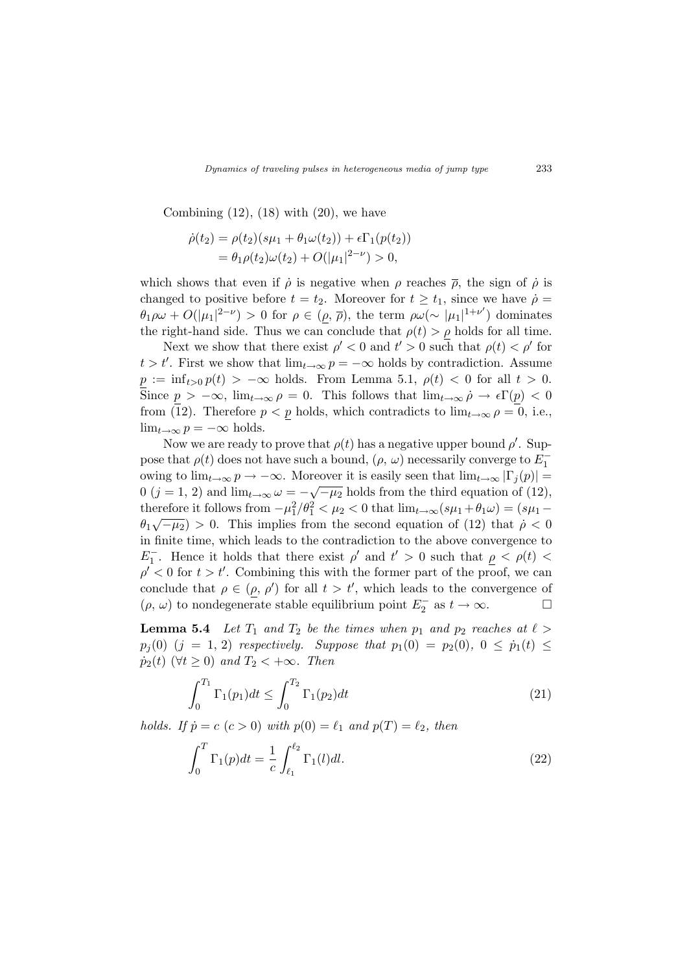Combining  $(12)$ ,  $(18)$  with  $(20)$ , we have

$$
\dot{\rho}(t_2) = \rho(t_2)(s\mu_1 + \theta_1 \omega(t_2)) + \epsilon \Gamma_1(p(t_2))
$$
  
=  $\theta_1 \rho(t_2) \omega(t_2) + O(|\mu_1|^{2-\nu}) > 0$ ,

which shows that even if  $\dot{\rho}$  is negative when  $\rho$  reaches  $\bar{\rho}$ , the sign of  $\dot{\rho}$  is changed to positive before  $t = t_2$ . Moreover for  $t \geq t_1$ , since we have  $\dot{\rho} =$  $\theta_1 \rho \omega + O(|\mu_1|^{2-\nu}) > 0$  for  $\rho \in (\rho, \overline{\rho})$ , the term  $\rho \omega (\sim |\mu_1|^{1+\nu'})$  dominates the right-hand side. Thus we can conclude that  $\rho(t) > \rho$  holds for all time.

Next we show that there exist  $\rho' < 0$  and  $t' > 0$  such that  $\rho(t) < \rho'$  for  $t > t'$ . First we show that  $\lim_{t \to \infty} p = -\infty$  holds by contradiction. Assume  $p := \inf_{t>0} p(t) > -\infty$  holds. From Lemma 5.1,  $\rho(t) < 0$  for all  $t > 0$ . Since  $p > -\infty$ ,  $\lim_{t \to \infty} \rho = 0$ . This follows that  $\lim_{t \to \infty} \dot{\rho} \to \epsilon \Gamma(p) < 0$ from (12). Therefore  $p < p$  holds, which contradicts to  $\lim_{t\to\infty} \rho = 0$ , i.e.,  $\lim_{t\to\infty} p = -\infty$  holds.

Now we are ready to prove that  $\rho(t)$  has a negative upper bound  $\rho'$ . Suppose that  $\rho(t)$  does not have such a bound,  $(\rho, \omega)$  necessarily converge to  $E_1^$ owing to  $\lim_{t\to\infty} p \to -\infty$ . Moreover it is easily seen that  $\lim_{t\to\infty} |\Gamma_j(p)| =$  $0$  ( $j = 1, 2$ ) and  $\lim_{t \to \infty} \omega = -\sqrt{-\mu_2}$  holds from the third equation of (12), therefore it follows from  $-\mu_1^2/\theta_1^2 < \mu_2 < 0$  that  $\lim_{t\to\infty} (s\mu_1 + \theta_1\omega) = (s\mu_1 \theta_1\sqrt{-\mu_2}$  > 0. This implies from the second equation of (12) that  $\dot{\rho} < 0$ in finite time, which leads to the contradiction to the above convergence to *E*<sub>1</sub><sup>-</sup>. Hence it holds that there exist *ρ*<sup>*'*</sup> and  $t' > 0$  such that  $\rho < \rho(t) <$  $\rho' < 0$  for  $t > t'$ . Combining this with the former part of the proof, we can conclude that  $\rho \in (\rho, \rho')$  for all  $t > t'$ , which leads to the convergence of  $(\rho, \omega)$  to nondegenerate stable equilibrium point  $E_2^-$  as  $t \to \infty$ .

**Lemma 5.4** *Let*  $T_1$  *and*  $T_2$  *be the times when*  $p_1$  *and*  $p_2$  *reaches at*  $\ell$  >  $p_j(0)$  (*j* = 1, 2) *respectively. Suppose that*  $p_1(0) = p_2(0)$ ,  $0 \leq \dot{p}_1(t) \leq$  $\dot{p}_2(t)$  ( $\forall t \geq 0$ ) *and*  $T_2 < +\infty$ *. Then* 

$$
\int_0^{T_1} \Gamma_1(p_1) dt \le \int_0^{T_2} \Gamma_1(p_2) dt \tag{21}
$$

*holds.* If  $\dot{p} = c$  ( $c > 0$ ) with  $p(0) = \ell_1$  and  $p(T) = \ell_2$ , then

$$
\int_0^T \Gamma_1(p)dt = \frac{1}{c} \int_{\ell_1}^{\ell_2} \Gamma_1(l)dl. \tag{22}
$$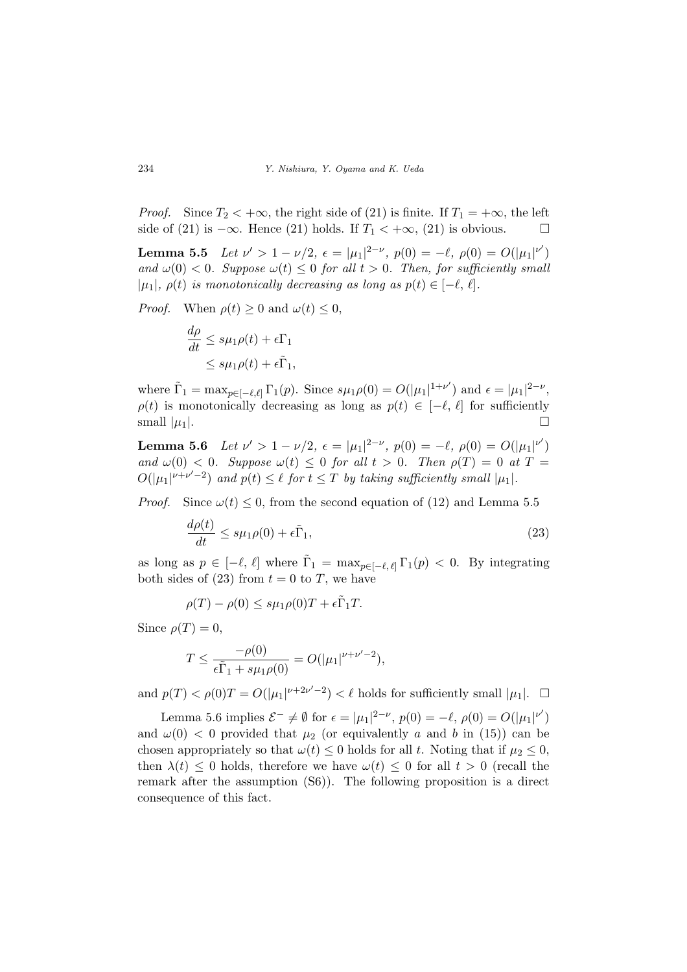*Proof.* Since  $T_2 < +\infty$ , the right side of (21) is finite. If  $T_1 = +\infty$ , the left side of (21) is  $-\infty$ . Hence (21) holds. If *T*<sub>1</sub> <  $+\infty$ , (21) is obvious. □

**Lemma 5.5** Let  $\nu' > 1 - \nu/2$ ,  $\epsilon = |\mu_1|^{2-\nu}$ ,  $p(0) = -\ell$ ,  $\rho(0) = O(|\mu_1|^{\nu'})$ *and*  $\omega(0) < 0$ *. Suppose*  $\omega(t) \leq 0$  *for all*  $t > 0$ *. Then, for sufficiently small*  $|\mu_1|, \rho(t)$  *is monotonically decreasing as long as*  $p(t) \in [-\ell, \ell].$ 

*Proof.* When  $\rho(t) \geq 0$  and  $\omega(t) \leq 0$ ,

$$
\frac{d\rho}{dt} \le s\mu_1\rho(t) + \epsilon\Gamma_1
$$
  

$$
\le s\mu_1\rho(t) + \epsilon\tilde{\Gamma}_1,
$$

where  $\tilde{\Gamma}_1 = \max_{p \in [-\ell,\ell]} \Gamma_1(p)$ . Since  $s\mu_1 \rho(0) = O(|\mu_1|^{1+\nu'})$  and  $\epsilon = |\mu_1|^{2-\nu}$ ,  $\rho(t)$  is monotonically decreasing as long as  $p(t) \in [-\ell, \ell]$  for sufficiently small  $|\mu_1|$ .

**Lemma 5.6** Let  $\nu' > 1 - \nu/2$ ,  $\epsilon = |\mu_1|^{2-\nu}$ ,  $p(0) = -\ell$ ,  $\rho(0) = O(|\mu_1|^{\nu'})$ *and*  $\omega(0) < 0$ *. Suppose*  $\omega(t) \leq 0$  *for all*  $t > 0$ *. Then*  $\rho(T) = 0$  *at*  $T =$  $O(|\mu_1|^{\nu+\nu'-2})$  and  $p(t) \leq \ell$  for  $t \leq T$  by taking sufficiently small  $|\mu_1|$ .

*Proof.* Since  $\omega(t) \leq 0$ , from the second equation of (12) and Lemma 5.5

$$
\frac{d\rho(t)}{dt} \le s\mu_1\rho(0) + \epsilon \tilde{\Gamma}_1,\tag{23}
$$

as long as  $p \in [-\ell, \ell]$  where  $\tilde{\Gamma}_1 = \max_{p \in [-\ell, \ell]} \Gamma_1(p) < 0$ . By integrating both sides of  $(23)$  from  $t = 0$  to *T*, we have

$$
\rho(T) - \rho(0) \le s\mu_1 \rho(0)T + \epsilon \tilde{\Gamma}_1 T.
$$

Since  $\rho(T) = 0$ ,

$$
T \le \frac{-\rho(0)}{\epsilon \tilde{\Gamma}_1 + s\mu_1 \rho(0)} = O(|\mu_1|^{\nu + \nu' - 2}),
$$

and  $p(T) < \rho(0)T = O(|\mu_1|^{\nu+2\nu'-2}) < \ell$  holds for sufficiently small  $|\mu_1|$ .  $\Box$ 

Lemma 5.6 implies  $\mathcal{E}^- \neq \emptyset$  for  $\epsilon = |\mu_1|^{2-\nu}$ ,  $p(0) = -\ell$ ,  $\rho(0) = O(|\mu_1|^{\nu'})$ and  $\omega(0)$  < 0 provided that  $\mu_2$  (or equivalently *a* and *b* in (15)) can be chosen appropriately so that  $\omega(t) \leq 0$  holds for all *t*. Noting that if  $\mu_2 \leq 0$ , then  $\lambda(t) \leq 0$  holds, therefore we have  $\omega(t) \leq 0$  for all  $t > 0$  (recall the remark after the assumption (S6)). The following proposition is a direct consequence of this fact.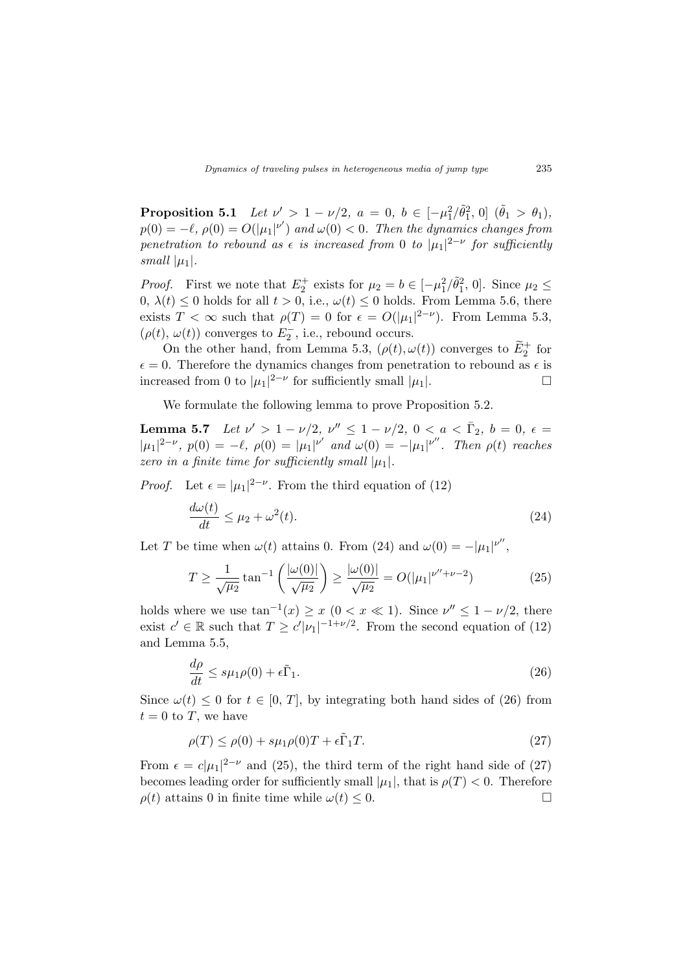**Proposition 5.1** *Let*  $\nu' > 1 - \nu/2$ ,  $a = 0$ ,  $b \in [-\mu_1^2/\tilde{\theta}_1^2, 0]$   $(\tilde{\theta}_1 > \theta_1)$ ,  $p(0) = -\ell$ ,  $\rho(0) = O(|\mu_1|^{\nu'})$  and  $\omega(0) < 0$ . Then the dynamics changes from *penetration to rebound as*  $\epsilon$  *is increased from* 0 *to*  $|\mu_1|^{2-\nu}$  *for sufficiently small*  $|\mu_1|$ *.* 

*Proof.* First we note that  $E_2^+$  exists for  $\mu_2 = b \in [-\mu_1^2/\tilde{\theta}_1^2, 0]$ . Since  $\mu_2 \leq$ 0,  $\lambda(t) \leq 0$  holds for all  $t > 0$ , i.e.,  $\omega(t) \leq 0$  holds. From Lemma 5.6, there exists  $T < \infty$  such that  $\rho(T) = 0$  for  $\epsilon = O(|\mu_1|^{2-\nu})$ . From Lemma 5.3,  $(\rho(t), \omega(t))$  converges to  $E_2^-$ , i.e., rebound occurs.

On the other hand, from Lemma 5.3,  $(\rho(t), \omega(t))$  converges to  $\widetilde{E}_2^+$  for  $\epsilon = 0$ . Therefore the dynamics changes from penetration to rebound as  $\epsilon$  is increased from 0 to  $|\mu_1|^{2-\nu}$  for sufficiently small  $|\mu_1|$ .

We formulate the following lemma to prove Proposition 5.2.

**Lemma 5.7** *Let*  $\nu' > 1 - \nu/2$ ,  $\nu'' \le 1 - \nu/2$ ,  $0 < a < \bar{\Gamma}_2$ ,  $b = 0$ ,  $\epsilon =$  $|\mu_1|^{2-\nu}$ ,  $p(0) = -\ell$ ,  $\rho(0) = |\mu_1|^{\nu'}$  and  $\omega(0) = -|\mu_1|^{\nu''}$ . Then  $\rho(t)$  reaches *zero in a finite time for sufficiently small*  $|\mu_1|$ *.* 

*Proof.* Let  $\epsilon = |\mu_1|^{2-\nu}$ . From the third equation of (12)

$$
\frac{d\omega(t)}{dt} \le \mu_2 + \omega^2(t). \tag{24}
$$

Let *T* be time when  $\omega(t)$  attains 0. From (24) and  $\omega(0) = -|\mu_1|^{\nu''}$ ,

$$
T \ge \frac{1}{\sqrt{\mu_2}} \tan^{-1} \left( \frac{|\omega(0)|}{\sqrt{\mu_2}} \right) \ge \frac{|\omega(0)|}{\sqrt{\mu_2}} = O(|\mu_1|^{\nu'' + \nu - 2}) \tag{25}
$$

holds where we use  $\tan^{-1}(x) \geq x \ (0 < x \ll 1)$ . Since  $\nu'' \leq 1 - \nu/2$ , there exist  $c' \in \mathbb{R}$  such that  $T \ge c' |\nu_1|^{-1+\nu/2}$ . From the second equation of (12) and Lemma 5.5,

$$
\frac{d\rho}{dt} \le s\mu_1\rho(0) + \epsilon \tilde{\Gamma}_1.
$$
\n(26)

Since  $\omega(t) \leq 0$  for  $t \in [0, T]$ , by integrating both hand sides of (26) from  $t = 0$  to *T*, we have

$$
\rho(T) \le \rho(0) + s\mu_1 \rho(0)T + \epsilon \tilde{\Gamma}_1 T. \tag{27}
$$

From  $\epsilon = c|\mu_1|^{2-\nu}$  and (25), the third term of the right hand side of (27) becomes leading order for sufficiently small  $|\mu_1|$ , that is  $\rho(T) < 0$ . Therefore  $\rho(t)$  attains 0 in finite time while  $\omega(t) \leq 0$ .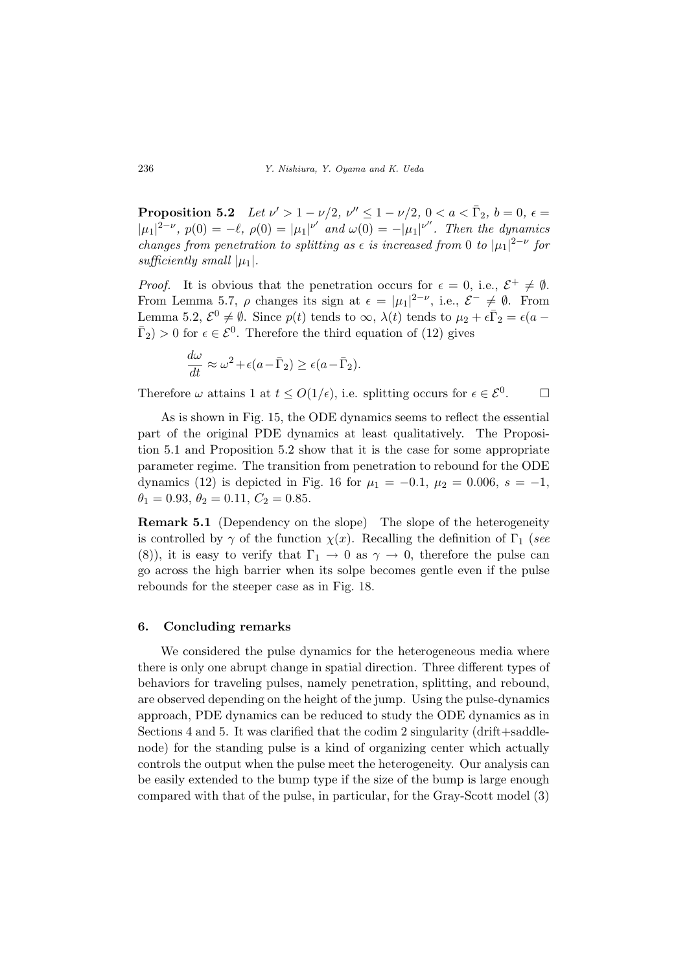**Proposition 5.2** *Let*  $\nu' > 1 - \nu/2$ ,  $\nu'' \le 1 - \nu/2$ ,  $0 < a < \bar{\Gamma}_2$ ,  $b = 0$ ,  $\epsilon =$  $|\mu_1|^{2-\nu}$ ,  $p(0) = -\ell$ ,  $\rho(0) = |\mu_1|^{\nu'}$  and  $\omega(0) = -|\mu_1|^{\nu''}$ . Then the dynamics *changes from penetration to splitting as*  $\epsilon$  *is increased from* 0 *to*  $|\mu_1|^{2-\nu}$  for *sufficiently small*  $|\mu_1|$ *.* 

*Proof.* It is obvious that the penetration occurs for  $\epsilon = 0$ , i.e.,  $\mathcal{E}^+ \neq \emptyset$ . From Lemma 5.7,  $\rho$  changes its sign at  $\epsilon = |\mu_1|^{2-\nu}$ , i.e.,  $\mathcal{E}^- \neq \emptyset$ . From Lemma 5.2,  $\mathcal{E}^0 \neq \emptyset$ . Since  $p(t)$  tends to  $\infty$ ,  $\lambda(t)$  tends to  $\mu_2 + \epsilon \bar{\Gamma}_2 = \epsilon(a - \bar{\Gamma}_2)$  $\bar{\Gamma}_2$  > 0 for  $\epsilon \in \mathcal{E}^0$ . Therefore the third equation of (12) gives

$$
\frac{d\omega}{dt} \approx \omega^2 + \epsilon (a - \bar{\Gamma}_2) \ge \epsilon (a - \bar{\Gamma}_2).
$$

Therefore  $\omega$  attains 1 at  $t \leq O(1/\epsilon)$ , i.e. splitting occurs for  $\epsilon \in \mathcal{E}^0$ .  $\Box$ 

As is shown in Fig. 15, the ODE dynamics seems to reflect the essential part of the original PDE dynamics at least qualitatively. The Proposition 5.1 and Proposition 5.2 show that it is the case for some appropriate parameter regime. The transition from penetration to rebound for the ODE dynamics (12) is depicted in Fig. 16 for  $\mu_1 = -0.1$ ,  $\mu_2 = 0.006$ ,  $s = -1$ ,  $\theta_1 = 0.93, \ \theta_2 = 0.11, \ C_2 = 0.85.$ 

**Remark 5.1** (Dependency on the slope) The slope of the heterogeneity is controlled by  $\gamma$  of the function  $\chi(x)$ . Recalling the definition of  $\Gamma_1$  (*see* (8)), it is easy to verify that  $\Gamma_1 \rightarrow 0$  as  $\gamma \rightarrow 0$ , therefore the pulse can go across the high barrier when its solpe becomes gentle even if the pulse rebounds for the steeper case as in Fig. 18.

#### **6. Concluding remarks**

We considered the pulse dynamics for the heterogeneous media where there is only one abrupt change in spatial direction. Three different types of behaviors for traveling pulses, namely penetration, splitting, and rebound, are observed depending on the height of the jump. Using the pulse-dynamics approach, PDE dynamics can be reduced to study the ODE dynamics as in Sections 4 and 5. It was clarified that the codim 2 singularity (drift+saddlenode) for the standing pulse is a kind of organizing center which actually controls the output when the pulse meet the heterogeneity. Our analysis can be easily extended to the bump type if the size of the bump is large enough compared with that of the pulse, in particular, for the Gray-Scott model (3)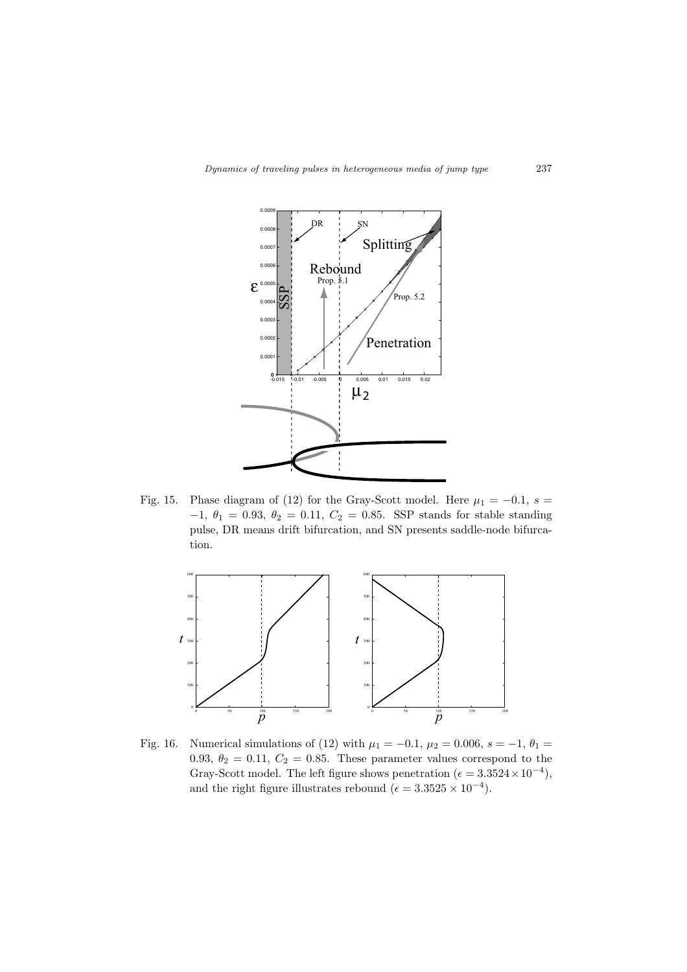

Fig. 15. Phase diagram of (12) for the Gray-Scott model. Here  $\mu_1 = -0.1$ ,  $s =$ *−*1, *θ*<sup>1</sup> = 0*.*93, *θ*<sup>2</sup> = 0*.*11, *C*<sup>2</sup> = 0*.*85. SSP stands for stable standing pulse, DR means drift bifurcation, and SN presents saddle-node bifurcation.



Fig. 16. Numerical simulations of (12) with  $\mu_1 = -0.1$ ,  $\mu_2 = 0.006$ ,  $s = -1$ ,  $\theta_1 =$ 0.93,  $\theta_2 = 0.11, C_2 = 0.85$ . These parameter values correspond to the Gray-Scott model. The left figure shows penetration ( $\epsilon = 3.3524 \times 10^{-4}$ ), and the right figure illustrates rebound ( $\epsilon = 3.3525 \times 10^{-4}$ ).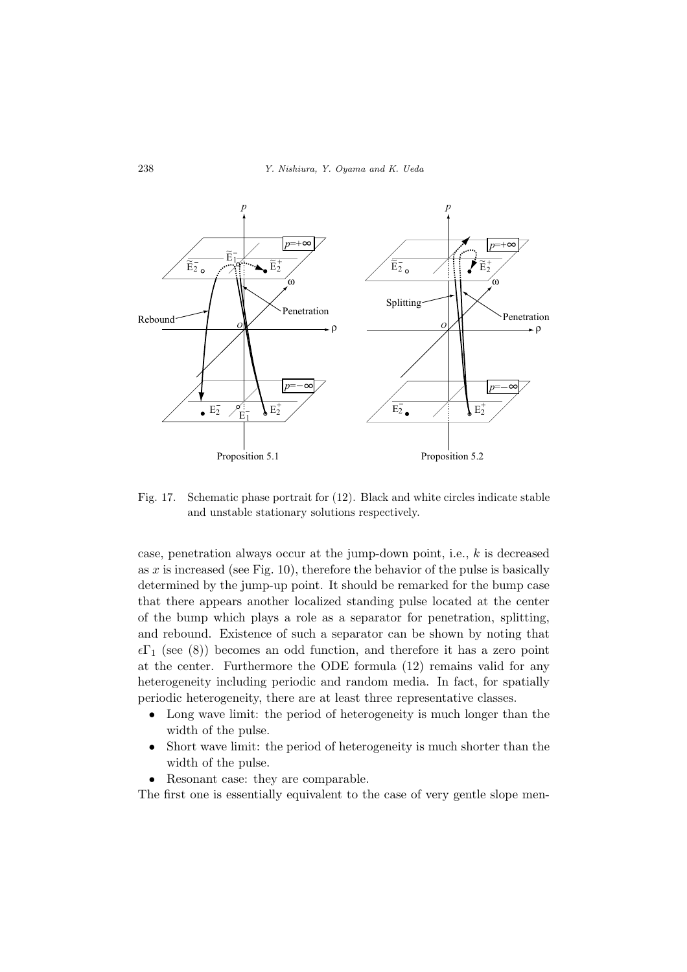

Fig. 17. Schematic phase portrait for (12). Black and white circles indicate stable and unstable stationary solutions respectively.

case, penetration always occur at the jump-down point, i.e., *k* is decreased as *x* is increased (see Fig. 10), therefore the behavior of the pulse is basically determined by the jump-up point. It should be remarked for the bump case that there appears another localized standing pulse located at the center of the bump which plays a role as a separator for penetration, splitting, and rebound. Existence of such a separator can be shown by noting that  $\epsilon\Gamma_1$  (see (8)) becomes an odd function, and therefore it has a zero point at the center. Furthermore the ODE formula (12) remains valid for any heterogeneity including periodic and random media. In fact, for spatially periodic heterogeneity, there are at least three representative classes.

- *•* Long wave limit: the period of heterogeneity is much longer than the width of the pulse.
- Short wave limit: the period of heterogeneity is much shorter than the width of the pulse.
- *•* Resonant case: they are comparable.

The first one is essentially equivalent to the case of very gentle slope men-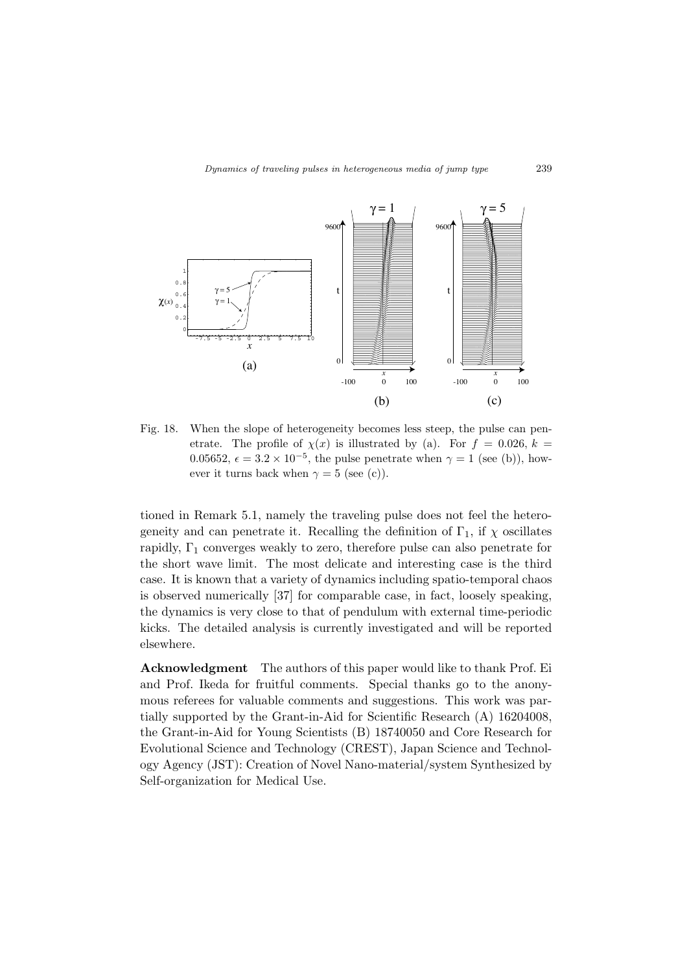

Fig. 18. When the slope of heterogeneity becomes less steep, the pulse can penetrate. The profile of  $\chi(x)$  is illustrated by (a). For  $f = 0.026, k =$ 0.05652,  $\epsilon = 3.2 \times 10^{-5}$ , the pulse penetrate when  $\gamma = 1$  (see (b)), however it turns back when  $\gamma = 5$  (see (c)).

tioned in Remark 5.1, namely the traveling pulse does not feel the heterogeneity and can penetrate it. Recalling the definition of  $\Gamma_1$ , if  $\chi$  oscillates rapidly,  $\Gamma_1$  converges weakly to zero, therefore pulse can also penetrate for the short wave limit. The most delicate and interesting case is the third case. It is known that a variety of dynamics including spatio-temporal chaos is observed numerically [37] for comparable case, in fact, loosely speaking, the dynamics is very close to that of pendulum with external time-periodic kicks. The detailed analysis is currently investigated and will be reported elsewhere.

**Acknowledgment** The authors of this paper would like to thank Prof. Ei and Prof. Ikeda for fruitful comments. Special thanks go to the anonymous referees for valuable comments and suggestions. This work was partially supported by the Grant-in-Aid for Scientific Research (A) 16204008, the Grant-in-Aid for Young Scientists (B) 18740050 and Core Research for Evolutional Science and Technology (CREST), Japan Science and Technology Agency (JST): Creation of Novel Nano-material/system Synthesized by Self-organization for Medical Use.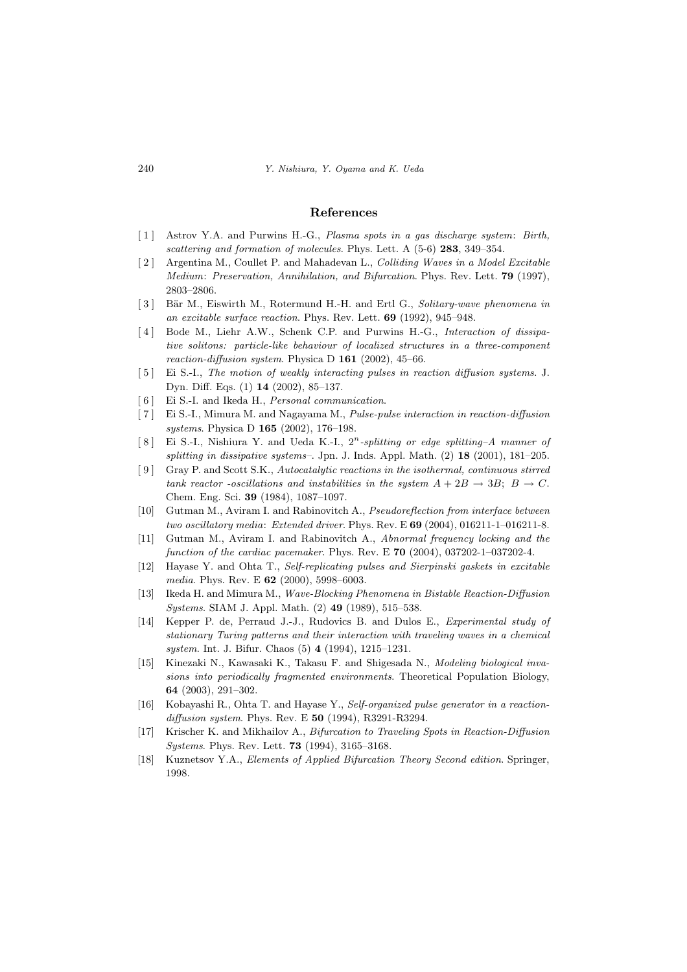#### **References**

- [ 1 ] Astrov Y.A. and Purwins H.-G., *Plasma spots in a gas discharge system*: *Birth, scattering and formation of molecules*. Phys. Lett. A (5-6) **283**, 349–354.
- [ 2 ] Argentina M., Coullet P. and Mahadevan L., *Colliding Waves in a Model Excitable Medium*: *Preservation, Annihilation, and Bifurcation*. Phys. Rev. Lett. **79** (1997), 2803–2806.
- [3] Bär M., Eiswirth M., Rotermund H.-H. and Ertl G., *Solitary-wave phenomena in an excitable surface reaction*. Phys. Rev. Lett. **69** (1992), 945–948.
- [ 4 ] Bode M., Liehr A.W., Schenk C.P. and Purwins H.-G., *Interaction of dissipative solitons: particle-like behaviour of localized structures in a three-component reaction-diffusion system*. Physica D **161** (2002), 45–66.
- [ 5 ] Ei S.-I., *The motion of weakly interacting pulses in reaction diffusion systems*. J. Dyn. Diff. Eqs. (1) **14** (2002), 85–137.
- [ 6 ] Ei S.-I. and Ikeda H., *Personal communication*.
- [ 7 ] Ei S.-I., Mimura M. and Nagayama M., *Pulse-pulse interaction in reaction-diffusion systems*. Physica D **165** (2002), 176–198.
- [ 8 ] Ei S.-I., Nishiura Y. and Ueda K.-I., 2*<sup>n</sup> -splitting or edge splitting–A manner of splitting in dissipative systems–*. Jpn. J. Inds. Appl. Math. (2) **18** (2001), 181–205.
- [ 9 ] Gray P. and Scott S.K., *Autocatalytic reactions in the isothermal, continuous stirred tank reactor -oscillations and instabilities in the system*  $A + 2B \rightarrow 3B$ ;  $B \rightarrow C$ . Chem. Eng. Sci. **39** (1984), 1087–1097.
- [10] Gutman M., Aviram I. and Rabinovitch A., *Pseudoreflection from interface between two oscillatory media*: *Extended driver*. Phys. Rev. E **69** (2004), 016211-1–016211-8.
- [11] Gutman M., Aviram I. and Rabinovitch A., *Abnormal frequency locking and the function of the cardiac pacemaker*. Phys. Rev. E **70** (2004), 037202-1–037202-4.
- [12] Hayase Y. and Ohta T., *Self-replicating pulses and Sierpinski gaskets in excitable media*. Phys. Rev. E **62** (2000), 5998–6003.
- [13] Ikeda H. and Mimura M., *Wave-Blocking Phenomena in Bistable Reaction-Diffusion Systems*. SIAM J. Appl. Math. (2) **49** (1989), 515–538.
- [14] Kepper P. de, Perraud J.-J., Rudovics B. and Dulos E., *Experimental study of stationary Turing patterns and their interaction with traveling waves in a chemical system*. Int. J. Bifur. Chaos (5) **4** (1994), 1215–1231.
- [15] Kinezaki N., Kawasaki K., Takasu F. and Shigesada N., *Modeling biological invasions into periodically fragmented environments*. Theoretical Population Biology, **64** (2003), 291–302.
- [16] Kobayashi R., Ohta T. and Hayase Y., *Self-organized pulse generator in a reactiondiffusion system*. Phys. Rev. E **50** (1994), R3291-R3294.
- [17] Krischer K. and Mikhailov A., *Bifurcation to Traveling Spots in Reaction-Diffusion Systems*. Phys. Rev. Lett. **73** (1994), 3165–3168.
- [18] Kuznetsov Y.A., *Elements of Applied Bifurcation Theory Second edition*. Springer, 1998.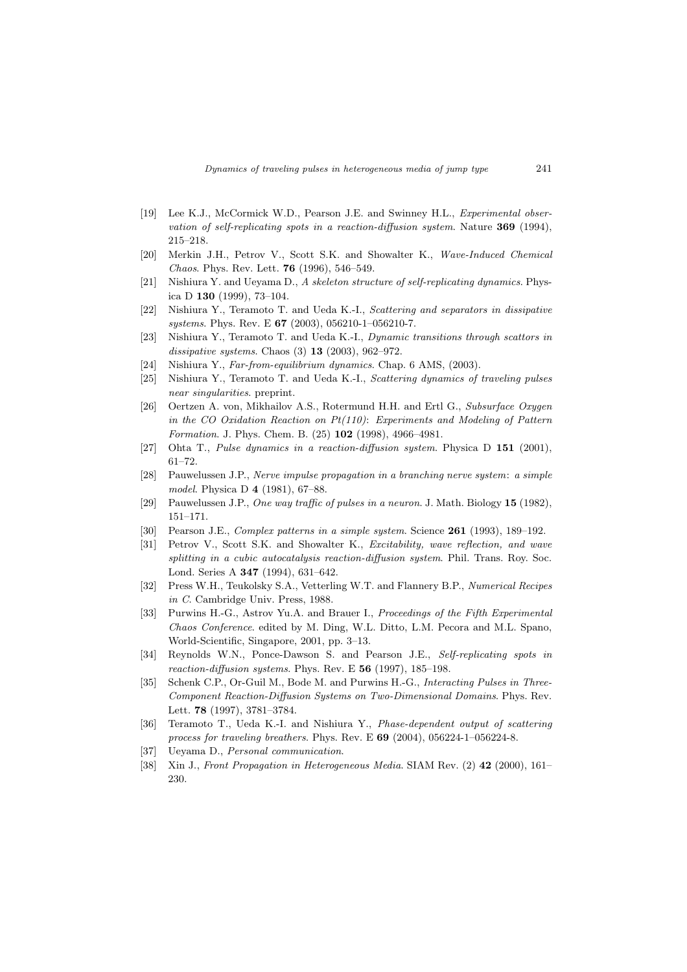- [19] Lee K.J., McCormick W.D., Pearson J.E. and Swinney H.L., *Experimental observation of self-replicating spots in a reaction-diffusion system*. Nature **369** (1994), 215–218.
- [20] Merkin J.H., Petrov V., Scott S.K. and Showalter K., *Wave-Induced Chemical Chaos*. Phys. Rev. Lett. **76** (1996), 546–549.
- [21] Nishiura Y. and Ueyama D., *A skeleton structure of self-replicating dynamics*. Physica D **130** (1999), 73–104.
- [22] Nishiura Y., Teramoto T. and Ueda K.-I., *Scattering and separators in dissipative systems*. Phys. Rev. E **67** (2003), 056210-1–056210-7.
- [23] Nishiura Y., Teramoto T. and Ueda K.-I., *Dynamic transitions through scattors in dissipative systems*. Chaos (3) **13** (2003), 962–972.
- [24] Nishiura Y., *Far-from-equilibrium dynamics*. Chap. 6 AMS, (2003).
- [25] Nishiura Y., Teramoto T. and Ueda K.-I., *Scattering dynamics of traveling pulses near singularities*. preprint.
- [26] Oertzen A. von, Mikhailov A.S., Rotermund H.H. and Ertl G., *Subsurface Oxygen in the CO Oxidation Reaction on Pt(110)*: *Experiments and Modeling of Pattern Formation*. J. Phys. Chem. B. (25) **102** (1998), 4966–4981.
- [27] Ohta T., *Pulse dynamics in a reaction-diffusion system*. Physica D **151** (2001), 61–72.
- [28] Pauwelussen J.P., *Nerve impulse propagation in a branching nerve system*: *a simple model*. Physica D **4** (1981), 67–88.
- [29] Pauwelussen J.P., *One way traffic of pulses in a neuron*. J. Math. Biology **15** (1982), 151–171.
- [30] Pearson J.E., *Complex patterns in a simple system*. Science **261** (1993), 189–192.
- [31] Petrov V., Scott S.K. and Showalter K., *Excitability, wave reflection, and wave splitting in a cubic autocatalysis reaction-diffusion system*. Phil. Trans. Roy. Soc. Lond. Series A **347** (1994), 631–642.
- [32] Press W.H., Teukolsky S.A., Vetterling W.T. and Flannery B.P., *Numerical Recipes in C*. Cambridge Univ. Press, 1988.
- [33] Purwins H.-G., Astrov Yu.A. and Brauer I., *Proceedings of the Fifth Experimental Chaos Conference*. edited by M. Ding, W.L. Ditto, L.M. Pecora and M.L. Spano, World-Scientific, Singapore, 2001, pp. 3–13.
- [34] Reynolds W.N., Ponce-Dawson S. and Pearson J.E., *Self-replicating spots in reaction-diffusion systems*. Phys. Rev. E **56** (1997), 185–198.
- [35] Schenk C.P., Or-Guil M., Bode M. and Purwins H.-G., *Interacting Pulses in Three-Component Reaction-Diffusion Systems on Two-Dimensional Domains*. Phys. Rev. Lett. **78** (1997), 3781–3784.
- [36] Teramoto T., Ueda K.-I. and Nishiura Y., *Phase-dependent output of scattering process for traveling breathers*. Phys. Rev. E **69** (2004), 056224-1–056224-8.
- [37] Ueyama D., *Personal communication*.
- [38] Xin J., *Front Propagation in Heterogeneous Media*. SIAM Rev. (2) **42** (2000), 161– 230.